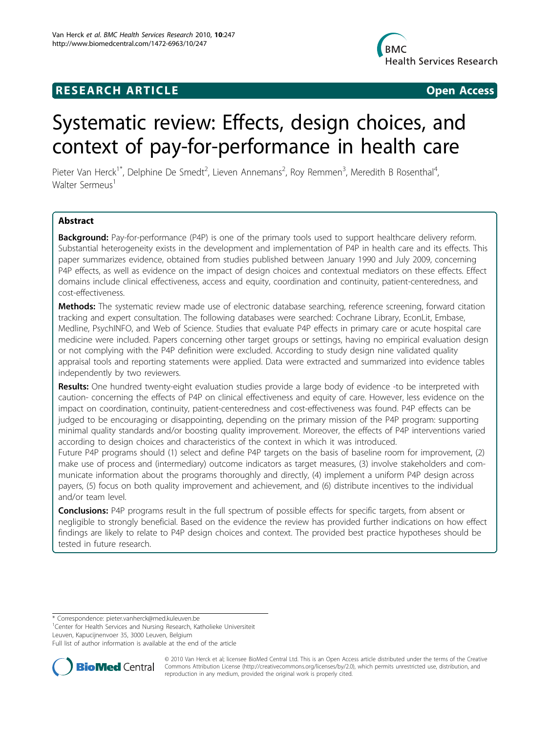## **RESEARCH ARTICLE Example 2018 12:00 Department of the Contract Open Access**



# Systematic review: Effects, design choices, and context of pay-for-performance in health care

Pieter Van Herck<sup>1\*</sup>, Delphine De Smedt<sup>2</sup>, Lieven Annemans<sup>2</sup>, Roy Remmen<sup>3</sup>, Meredith B Rosenthal<sup>4</sup> , Walter Sermeus<sup>1</sup>

## Abstract

Background: Pay-for-performance (P4P) is one of the primary tools used to support healthcare delivery reform. Substantial heterogeneity exists in the development and implementation of P4P in health care and its effects. This paper summarizes evidence, obtained from studies published between January 1990 and July 2009, concerning P4P effects, as well as evidence on the impact of design choices and contextual mediators on these effects. Effect domains include clinical effectiveness, access and equity, coordination and continuity, patient-centeredness, and cost-effectiveness.

Methods: The systematic review made use of electronic database searching, reference screening, forward citation tracking and expert consultation. The following databases were searched: Cochrane Library, EconLit, Embase, Medline, PsychINFO, and Web of Science. Studies that evaluate P4P effects in primary care or acute hospital care medicine were included. Papers concerning other target groups or settings, having no empirical evaluation design or not complying with the P4P definition were excluded. According to study design nine validated quality appraisal tools and reporting statements were applied. Data were extracted and summarized into evidence tables independently by two reviewers.

Results: One hundred twenty-eight evaluation studies provide a large body of evidence -to be interpreted with caution- concerning the effects of P4P on clinical effectiveness and equity of care. However, less evidence on the impact on coordination, continuity, patient-centeredness and cost-effectiveness was found. P4P effects can be judged to be encouraging or disappointing, depending on the primary mission of the P4P program: supporting minimal quality standards and/or boosting quality improvement. Moreover, the effects of P4P interventions varied according to design choices and characteristics of the context in which it was introduced.

Future P4P programs should (1) select and define P4P targets on the basis of baseline room for improvement, (2) make use of process and (intermediary) outcome indicators as target measures, (3) involve stakeholders and communicate information about the programs thoroughly and directly, (4) implement a uniform P4P design across payers, (5) focus on both quality improvement and achievement, and (6) distribute incentives to the individual and/or team level.

**Conclusions:** P4P programs result in the full spectrum of possible effects for specific targets, from absent or negligible to strongly beneficial. Based on the evidence the review has provided further indications on how effect findings are likely to relate to P4P design choices and context. The provided best practice hypotheses should be tested in future research.

\* Correspondence: [pieter.vanherck@med.kuleuven.be](mailto:pieter.vanherck@med.kuleuven.be)

<sup>1</sup>Center for Health Services and Nursing Research, Katholieke Universiteit Leuven, Kapucijnenvoer 35, 3000 Leuven, Belgium

Full list of author information is available at the end of the article



© 2010 Van Herck et al; licensee BioMed Central Ltd. This is an Open Access article distributed under the terms of the Creative Bio Med Central Commons Attribution License [\(http://creativecommons.org/licenses/by/2.0](http://creativecommons.org/licenses/by/2.0)), which permits unrestricted use, distribution, and reproduction in any medium, provided the original work is properly cited.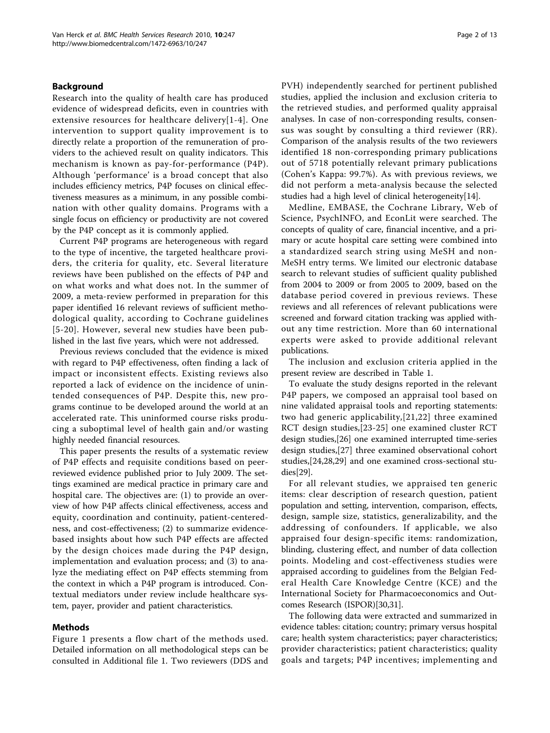### Background

Research into the quality of health care has produced evidence of widespread deficits, even in countries with extensive resources for healthcare delivery[[1-4\]](#page-9-0). One intervention to support quality improvement is to directly relate a proportion of the remuneration of providers to the achieved result on quality indicators. This mechanism is known as pay-for-performance (P4P). Although 'performance' is a broad concept that also includes efficiency metrics, P4P focuses on clinical effectiveness measures as a minimum, in any possible combination with other quality domains. Programs with a single focus on efficiency or productivity are not covered by the P4P concept as it is commonly applied.

Current P4P programs are heterogeneous with regard to the type of incentive, the targeted healthcare providers, the criteria for quality, etc. Several literature reviews have been published on the effects of P4P and on what works and what does not. In the summer of 2009, a meta-review performed in preparation for this paper identified 16 relevant reviews of sufficient methodological quality, according to Cochrane guidelines [[5](#page-9-0)-[20\]](#page-9-0). However, several new studies have been published in the last five years, which were not addressed.

Previous reviews concluded that the evidence is mixed with regard to P4P effectiveness, often finding a lack of impact or inconsistent effects. Existing reviews also reported a lack of evidence on the incidence of unintended consequences of P4P. Despite this, new programs continue to be developed around the world at an accelerated rate. This uninformed course risks producing a suboptimal level of health gain and/or wasting highly needed financial resources.

This paper presents the results of a systematic review of P4P effects and requisite conditions based on peerreviewed evidence published prior to July 2009. The settings examined are medical practice in primary care and hospital care. The objectives are: (1) to provide an overview of how P4P affects clinical effectiveness, access and equity, coordination and continuity, patient-centeredness, and cost-effectiveness; (2) to summarize evidencebased insights about how such P4P effects are affected by the design choices made during the P4P design, implementation and evaluation process; and (3) to analyze the mediating effect on P4P effects stemming from the context in which a P4P program is introduced. Contextual mediators under review include healthcare system, payer, provider and patient characteristics.

#### Methods

Figure [1](#page-2-0) presents a flow chart of the methods used. Detailed information on all methodological steps can be consulted in Additional file [1.](#page-8-0) Two reviewers (DDS and PVH) independently searched for pertinent published studies, applied the inclusion and exclusion criteria to the retrieved studies, and performed quality appraisal analyses. In case of non-corresponding results, consensus was sought by consulting a third reviewer (RR). Comparison of the analysis results of the two reviewers identified 18 non-corresponding primary publications out of 5718 potentially relevant primary publications (Cohen's Kappa: 99.7%). As with previous reviews, we did not perform a meta-analysis because the selected studies had a high level of clinical heterogeneity[\[14](#page-9-0)].

Medline, EMBASE, the Cochrane Library, Web of Science, PsychINFO, and EconLit were searched. The concepts of quality of care, financial incentive, and a primary or acute hospital care setting were combined into a standardized search string using MeSH and non-MeSH entry terms. We limited our electronic database search to relevant studies of sufficient quality published from 2004 to 2009 or from 2005 to 2009, based on the database period covered in previous reviews. These reviews and all references of relevant publications were screened and forward citation tracking was applied without any time restriction. More than 60 international experts were asked to provide additional relevant publications.

The inclusion and exclusion criteria applied in the present review are described in Table [1](#page-3-0).

To evaluate the study designs reported in the relevant P4P papers, we composed an appraisal tool based on nine validated appraisal tools and reporting statements: two had generic applicability,[[21](#page-9-0),[22](#page-9-0)] three examined RCT design studies,[\[23-25](#page-9-0)] one examined cluster RCT design studies,[[26](#page-9-0)] one examined interrupted time-series design studies,[[27\]](#page-9-0) three examined observational cohort studies,[[24](#page-9-0),[28](#page-9-0),[29\]](#page-9-0) and one examined cross-sectional studies[[29\]](#page-9-0).

For all relevant studies, we appraised ten generic items: clear description of research question, patient population and setting, intervention, comparison, effects, design, sample size, statistics, generalizability, and the addressing of confounders. If applicable, we also appraised four design-specific items: randomization, blinding, clustering effect, and number of data collection points. Modeling and cost-effectiveness studies were appraised according to guidelines from the Belgian Federal Health Care Knowledge Centre (KCE) and the International Society for Pharmacoeconomics and Outcomes Research (ISPOR)[[30,31\]](#page-9-0).

The following data were extracted and summarized in evidence tables: citation; country; primary versus hospital care; health system characteristics; payer characteristics; provider characteristics; patient characteristics; quality goals and targets; P4P incentives; implementing and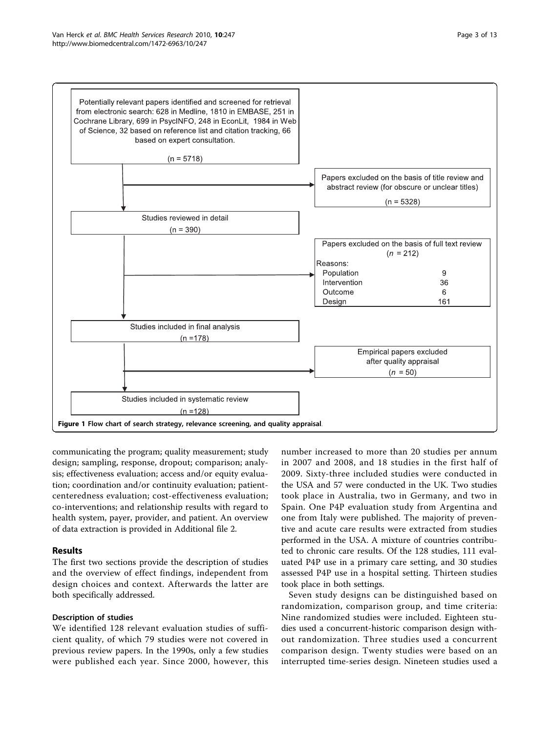<span id="page-2-0"></span>

communicating the program; quality measurement; study design; sampling, response, dropout; comparison; analysis; effectiveness evaluation; access and/or equity evaluation; coordination and/or continuity evaluation; patientcenteredness evaluation; cost-effectiveness evaluation; co-interventions; and relationship results with regard to health system, payer, provider, and patient. An overview of data extraction is provided in Additional file [2](#page-8-0).

## Results

The first two sections provide the description of studies and the overview of effect findings, independent from design choices and context. Afterwards the latter are both specifically addressed.

#### Description of studies

We identified 128 relevant evaluation studies of sufficient quality, of which 79 studies were not covered in previous review papers. In the 1990s, only a few studies were published each year. Since 2000, however, this

number increased to more than 20 studies per annum in 2007 and 2008, and 18 studies in the first half of 2009. Sixty-three included studies were conducted in the USA and 57 were conducted in the UK. Two studies took place in Australia, two in Germany, and two in Spain. One P4P evaluation study from Argentina and one from Italy were published. The majority of preventive and acute care results were extracted from studies performed in the USA. A mixture of countries contributed to chronic care results. Of the 128 studies, 111 evaluated P4P use in a primary care setting, and 30 studies assessed P4P use in a hospital setting. Thirteen studies took place in both settings.

Seven study designs can be distinguished based on randomization, comparison group, and time criteria: Nine randomized studies were included. Eighteen studies used a concurrent-historic comparison design without randomization. Three studies used a concurrent comparison design. Twenty studies were based on an interrupted time-series design. Nineteen studies used a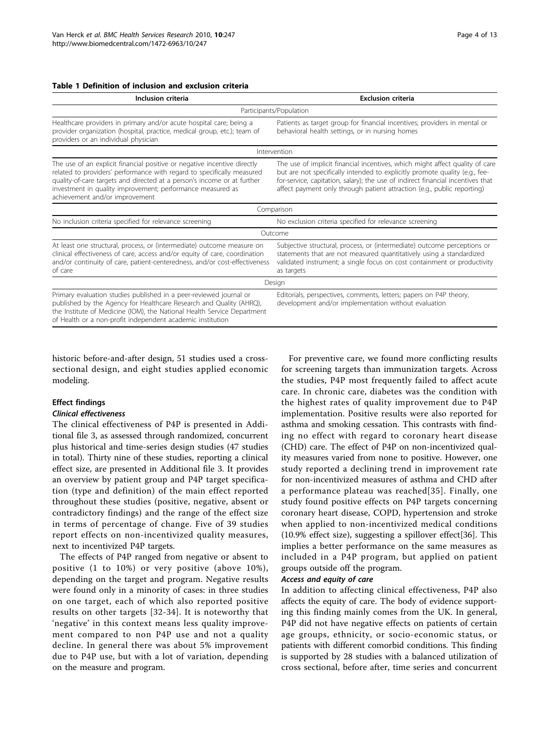#### <span id="page-3-0"></span>Table 1 Definition of inclusion and exclusion criteria

| Inclusion criteria                                                                                                                                                                                                                                                                                                            | <b>Exclusion criteria</b>                                                                                                                                                                                                                                                                                                 |
|-------------------------------------------------------------------------------------------------------------------------------------------------------------------------------------------------------------------------------------------------------------------------------------------------------------------------------|---------------------------------------------------------------------------------------------------------------------------------------------------------------------------------------------------------------------------------------------------------------------------------------------------------------------------|
|                                                                                                                                                                                                                                                                                                                               | Participants/Population                                                                                                                                                                                                                                                                                                   |
| Healthcare providers in primary and/or acute hospital care; being a<br>provider organization (hospital, practice, medical group, etc.); team of<br>providers or an individual physician                                                                                                                                       | Patients as target group for financial incentives; providers in mental or<br>behavioral health settings, or in nursing homes                                                                                                                                                                                              |
|                                                                                                                                                                                                                                                                                                                               | Intervention                                                                                                                                                                                                                                                                                                              |
| The use of an explicit financial positive or negative incentive directly<br>related to providers' performance with regard to specifically measured<br>quality-of-care targets and directed at a person's income or at further<br>investment in quality improvement; performance measured as<br>achievement and/or improvement | The use of implicit financial incentives, which might affect quality of care<br>but are not specifically intended to explicitly promote quality (e.g., fee-<br>for-service, capitation, salary); the use of indirect financial incentives that<br>affect payment only through patient attraction (e.g., public reporting) |
|                                                                                                                                                                                                                                                                                                                               | Comparison                                                                                                                                                                                                                                                                                                                |
| No inclusion criteria specified for relevance screening                                                                                                                                                                                                                                                                       | No exclusion criteria specified for relevance screening                                                                                                                                                                                                                                                                   |
|                                                                                                                                                                                                                                                                                                                               | Outcome                                                                                                                                                                                                                                                                                                                   |
| At least one structural, process, or (intermediate) outcome measure on<br>clinical effectiveness of care, access and/or equity of care, coordination<br>and/or continuity of care, patient-centeredness, and/or cost-effectiveness<br>of care                                                                                 | Subjective structural, process, or (intermediate) outcome perceptions or<br>statements that are not measured quantitatively using a standardized<br>validated instrument; a single focus on cost containment or productivity<br>as targets                                                                                |
|                                                                                                                                                                                                                                                                                                                               | Design                                                                                                                                                                                                                                                                                                                    |
| Primary evaluation studies published in a peer-reviewed journal or<br>published by the Agency for Healthcare Research and Quality (AHRQ),<br>the Institute of Medicine (IOM), the National Health Service Department<br>of Health or a non-profit independent academic institution                                            | Editorials, perspectives, comments, letters; papers on P4P theory,<br>development and/or implementation without evaluation                                                                                                                                                                                                |

historic before-and-after design, 51 studies used a crosssectional design, and eight studies applied economic

#### Effect findings

modeling.

#### Clinical effectiveness

The clinical effectiveness of P4P is presented in Additional file [3](#page-8-0), as assessed through randomized, concurrent plus historical and time-series design studies (47 studies in total). Thirty nine of these studies, reporting a clinical effect size, are presented in Additional file [3.](#page-8-0) It provides an overview by patient group and P4P target specification (type and definition) of the main effect reported throughout these studies (positive, negative, absent or contradictory findings) and the range of the effect size in terms of percentage of change. Five of 39 studies report effects on non-incentivized quality measures, next to incentivized P4P targets.

The effects of P4P ranged from negative or absent to positive (1 to 10%) or very positive (above 10%), depending on the target and program. Negative results were found only in a minority of cases: in three studies on one target, each of which also reported positive results on other targets [[32](#page-9-0)-[34\]](#page-9-0). It is noteworthy that 'negative' in this context means less quality improvement compared to non P4P use and not a quality decline. In general there was about 5% improvement due to P4P use, but with a lot of variation, depending on the measure and program.

For preventive care, we found more conflicting results for screening targets than immunization targets. Across the studies, P4P most frequently failed to affect acute care. In chronic care, diabetes was the condition with the highest rates of quality improvement due to P4P implementation. Positive results were also reported for asthma and smoking cessation. This contrasts with finding no effect with regard to coronary heart disease (CHD) care. The effect of P4P on non-incentivized quality measures varied from none to positive. However, one study reported a declining trend in improvement rate for non-incentivized measures of asthma and CHD after a performance plateau was reached[[35](#page-9-0)]. Finally, one study found positive effects on P4P targets concerning coronary heart disease, COPD, hypertension and stroke when applied to non-incentivized medical conditions (10.9% effect size), suggesting a spillover effect[[36\]](#page-9-0). This implies a better performance on the same measures as included in a P4P program, but applied on patient groups outside off the program.

#### Access and equity of care

In addition to affecting clinical effectiveness, P4P also affects the equity of care. The body of evidence supporting this finding mainly comes from the UK. In general, P4P did not have negative effects on patients of certain age groups, ethnicity, or socio-economic status, or patients with different comorbid conditions. This finding is supported by 28 studies with a balanced utilization of cross sectional, before after, time series and concurrent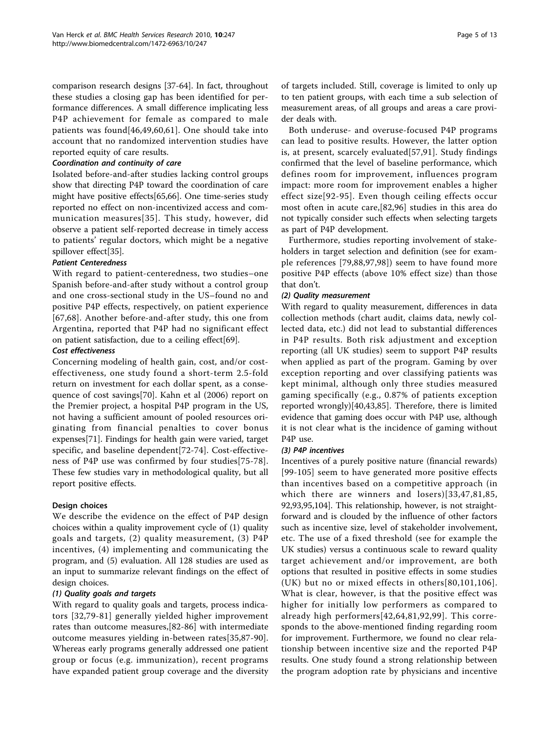comparison research designs [[37-](#page-9-0)[64\]](#page-10-0). In fact, throughout these studies a closing gap has been identified for performance differences. A small difference implicating less P4P achievement for female as compared to male patients was found[[46,49](#page-10-0),[60,61\]](#page-10-0). One should take into account that no randomized intervention studies have reported equity of care results.

## Coordination and continuity of care

Isolated before-and-after studies lacking control groups show that directing P4P toward the coordination of care might have positive effects[[65](#page-10-0),[66](#page-10-0)]. One time-series study reported no effect on non-incentivized access and communication measures[[35\]](#page-9-0). This study, however, did observe a patient self-reported decrease in timely access to patients' regular doctors, which might be a negative spillover effect[\[35\]](#page-9-0).

## Patient Centeredness

With regard to patient-centeredness, two studies–one Spanish before-and-after study without a control group and one cross-sectional study in the US–found no and positive P4P effects, respectively, on patient experience [[67](#page-10-0),[68\]](#page-10-0). Another before-and-after study, this one from Argentina, reported that P4P had no significant effect on patient satisfaction, due to a ceiling effect[[69](#page-10-0)].

### Cost effectiveness

Concerning modeling of health gain, cost, and/or costeffectiveness, one study found a short-term 2.5-fold return on investment for each dollar spent, as a consequence of cost savings[[70\]](#page-10-0). Kahn et al (2006) report on the Premier project, a hospital P4P program in the US, not having a sufficient amount of pooled resources originating from financial penalties to cover bonus expenses[[71\]](#page-10-0). Findings for health gain were varied, target specific, and baseline dependent[[72-74](#page-10-0)]. Cost-effectiveness of P4P use was confirmed by four studies[[75](#page-10-0)-[78](#page-10-0)]. These few studies vary in methodological quality, but all report positive effects.

## Design choices

We describe the evidence on the effect of P4P design choices within a quality improvement cycle of (1) quality goals and targets, (2) quality measurement, (3) P4P incentives, (4) implementing and communicating the program, and (5) evaluation. All 128 studies are used as an input to summarize relevant findings on the effect of design choices.

#### (1) Quality goals and targets

With regard to quality goals and targets, process indicators [[32](#page-9-0)[,79-81\]](#page-11-0) generally yielded higher improvement rates than outcome measures,[[82](#page-11-0)-[86\]](#page-11-0) with intermediate outcome measures yielding in-between rates[[35](#page-9-0)[,87](#page-11-0)-[90](#page-11-0)]. Whereas early programs generally addressed one patient group or focus (e.g. immunization), recent programs have expanded patient group coverage and the diversity of targets included. Still, coverage is limited to only up to ten patient groups, with each time a sub selection of measurement areas, of all groups and areas a care provider deals with.

Both underuse- and overuse-focused P4P programs can lead to positive results. However, the latter option is, at present, scarcely evaluated[[57,](#page-10-0)[91](#page-11-0)]. Study findings confirmed that the level of baseline performance, which defines room for improvement, influences program impact: more room for improvement enables a higher effect size[[92-95](#page-11-0)]. Even though ceiling effects occur most often in acute care,[[82,96](#page-11-0)] studies in this area do not typically consider such effects when selecting targets as part of P4P development.

Furthermore, studies reporting involvement of stakeholders in target selection and definition (see for example references [[79,88,97,98\]](#page-11-0)) seem to have found more positive P4P effects (above 10% effect size) than those that don't.

### (2) Quality measurement

With regard to quality measurement, differences in data collection methods (chart audit, claims data, newly collected data, etc.) did not lead to substantial differences in P4P results. Both risk adjustment and exception reporting (all UK studies) seem to support P4P results when applied as part of the program. Gaming by over exception reporting and over classifying patients was kept minimal, although only three studies measured gaming specifically (e.g., 0.87% of patients exception reported wrongly)[[40,43](#page-10-0)[,85](#page-11-0)]. Therefore, there is limited evidence that gaming does occur with P4P use, although it is not clear what is the incidence of gaming without P4P use.

#### (3) P4P incentives

Incentives of a purely positive nature (financial rewards) [[99](#page-11-0)-[105](#page-11-0)] seem to have generated more positive effects than incentives based on a competitive approach (in which there are winners and losers)[[33](#page-9-0),[47,](#page-10-0)[81](#page-11-0),[85](#page-11-0), [92](#page-11-0),[93](#page-11-0),[95,104](#page-11-0)]. This relationship, however, is not straightforward and is clouded by the influence of other factors such as incentive size, level of stakeholder involvement, etc. The use of a fixed threshold (see for example the UK studies) versus a continuous scale to reward quality target achievement and/or improvement, are both options that resulted in positive effects in some studies (UK) but no or mixed effects in others[[80,101](#page-11-0),[106\]](#page-11-0). What is clear, however, is that the positive effect was higher for initially low performers as compared to already high performers[[42](#page-10-0),[64](#page-10-0),[81](#page-11-0),[92,99\]](#page-11-0). This corresponds to the above-mentioned finding regarding room for improvement. Furthermore, we found no clear relationship between incentive size and the reported P4P results. One study found a strong relationship between the program adoption rate by physicians and incentive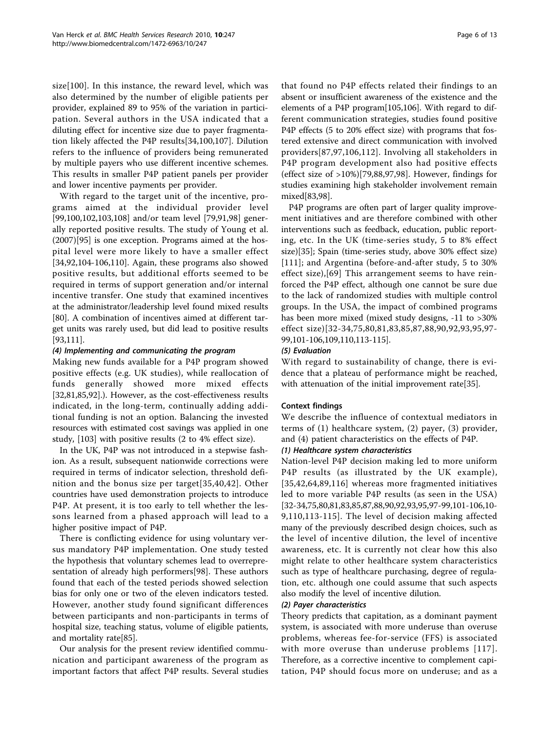size[[100\]](#page-11-0). In this instance, the reward level, which was also determined by the number of eligible patients per provider, explained 89 to 95% of the variation in participation. Several authors in the USA indicated that a diluting effect for incentive size due to payer fragmentation likely affected the P4P results[\[34](#page-9-0),[100](#page-11-0),[107\]](#page-11-0). Dilution refers to the influence of providers being remunerated by multiple payers who use different incentive schemes. This results in smaller P4P patient panels per provider and lower incentive payments per provider.

With regard to the target unit of the incentive, programs aimed at the individual provider level [[99,100,102,103,108\]](#page-11-0) and/or team level [[79,91,98\]](#page-11-0) generally reported positive results. The study of Young et al. (2007)[[95\]](#page-11-0) is one exception. Programs aimed at the hospital level were more likely to have a smaller effect [[34,](#page-9-0)[92,104-106](#page-11-0),[110\]](#page-11-0). Again, these programs also showed positive results, but additional efforts seemed to be required in terms of support generation and/or internal incentive transfer. One study that examined incentives at the administrator/leadership level found mixed results [[80\]](#page-11-0). A combination of incentives aimed at different target units was rarely used, but did lead to positive results [[93,111](#page-11-0)].

#### (4) Implementing and communicating the program

Making new funds available for a P4P program showed positive effects (e.g. UK studies), while reallocation of funds generally showed more mixed effects [[32,](#page-9-0)[81,85,92\]](#page-11-0).). However, as the cost-effectiveness results indicated, in the long-term, continually adding additional funding is not an option. Balancing the invested resources with estimated cost savings was applied in one study, [[103\]](#page-11-0) with positive results (2 to 4% effect size).

In the UK, P4P was not introduced in a stepwise fashion. As a result, subsequent nationwide corrections were required in terms of indicator selection, threshold definition and the bonus size per target[\[35,](#page-9-0)[40,42\]](#page-10-0). Other countries have used demonstration projects to introduce P4P. At present, it is too early to tell whether the lessons learned from a phased approach will lead to a higher positive impact of P4P.

There is conflicting evidence for using voluntary versus mandatory P4P implementation. One study tested the hypothesis that voluntary schemes lead to overrepresentation of already high performers[[98\]](#page-11-0). These authors found that each of the tested periods showed selection bias for only one or two of the eleven indicators tested. However, another study found significant differences between participants and non-participants in terms of hospital size, teaching status, volume of eligible patients, and mortality rate[[85\]](#page-11-0).

Our analysis for the present review identified communication and participant awareness of the program as important factors that affect P4P results. Several studies that found no P4P effects related their findings to an absent or insufficient awareness of the existence and the elements of a P4P program[[105](#page-11-0),[106](#page-11-0)]. With regard to different communication strategies, studies found positive P4P effects (5 to 20% effect size) with programs that fostered extensive and direct communication with involved providers[[87,97](#page-11-0),[106,112\]](#page-11-0). Involving all stakeholders in P4P program development also had positive effects (effect size of >10%)[[79,88,97,98](#page-11-0)]. However, findings for studies examining high stakeholder involvement remain mixed[[83,98\]](#page-11-0).

P4P programs are often part of larger quality improvement initiatives and are therefore combined with other interventions such as feedback, education, public reporting, etc. In the UK (time-series study, 5 to 8% effect size)[\[35\]](#page-9-0); Spain (time-series study, above 30% effect size) [[111](#page-11-0)]; and Argentina (before-and-after study, 5 to 30% effect size),[[69\]](#page-10-0) This arrangement seems to have reinforced the P4P effect, although one cannot be sure due to the lack of randomized studies with multiple control groups. In the USA, the impact of combined programs has been more mixed (mixed study designs, -11 to >30% effect size)[[32-34](#page-9-0),[75](#page-10-0),[80](#page-11-0),[81,83,85,87,88,90](#page-11-0),[92](#page-11-0),[93](#page-11-0),[95](#page-11-0),[97](#page-11-0)- [99](#page-11-0),[101](#page-11-0)-[106](#page-11-0),[109,110,113-115](#page-11-0)].

## (5) Evaluation

With regard to sustainability of change, there is evidence that a plateau of performance might be reached, with attenuation of the initial improvement rate[\[35](#page-9-0)].

## Context findings

We describe the influence of contextual mediators in terms of (1) healthcare system, (2) payer, (3) provider, and (4) patient characteristics on the effects of P4P.

## (1) Healthcare system characteristics

Nation-level P4P decision making led to more uniform P4P results (as illustrated by the UK example), [[35](#page-9-0),[42,64,](#page-10-0)[89](#page-11-0),[116](#page-11-0)] whereas more fragmented initiatives led to more variable P4P results (as seen in the USA) [[32-34](#page-9-0)[,75](#page-10-0)[,80,81,83,85,87,88,90,92,93,95,97-99,101-106,10-](#page-11-0) [9,110,113-115](#page-11-0)]. The level of decision making affected many of the previously described design choices, such as the level of incentive dilution, the level of incentive awareness, etc. It is currently not clear how this also might relate to other healthcare system characteristics such as type of healthcare purchasing, degree of regulation, etc. although one could assume that such aspects also modify the level of incentive dilution.

## (2) Payer characteristics

Theory predicts that capitation, as a dominant payment system, is associated with more underuse than overuse problems, whereas fee-for-service (FFS) is associated with more overuse than underuse problems [[117\]](#page-11-0). Therefore, as a corrective incentive to complement capitation, P4P should focus more on underuse; and as a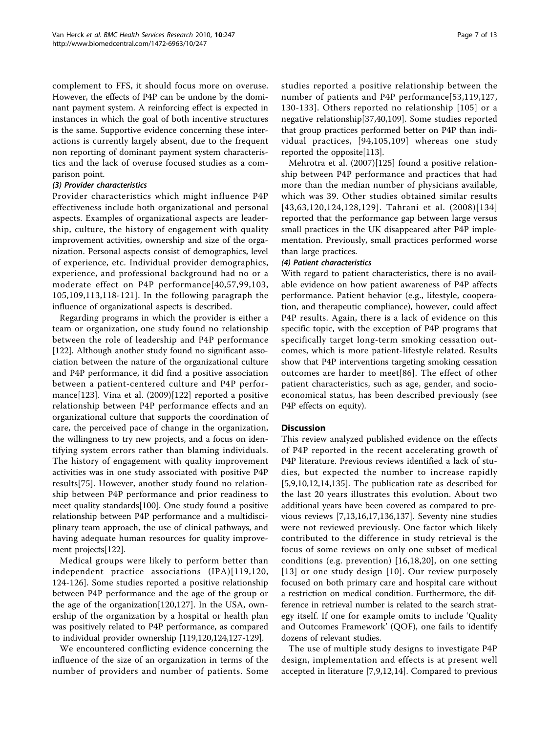complement to FFS, it should focus more on overuse. However, the effects of P4P can be undone by the dominant payment system. A reinforcing effect is expected in instances in which the goal of both incentive structures is the same. Supportive evidence concerning these interactions is currently largely absent, due to the frequent non reporting of dominant payment system characteristics and the lack of overuse focused studies as a comparison point.

#### (3) Provider characteristics

Provider characteristics which might influence P4P effectiveness include both organizational and personal aspects. Examples of organizational aspects are leadership, culture, the history of engagement with quality improvement activities, ownership and size of the organization. Personal aspects consist of demographics, level of experience, etc. Individual provider demographics, experience, and professional background had no or a moderate effect on P4P performance[[40](#page-10-0),[57](#page-10-0),[99,103](#page-11-0), [105](#page-11-0),[109](#page-11-0),[113](#page-11-0),[118](#page-11-0)[-121\]](#page-12-0). In the following paragraph the influence of organizational aspects is described.

Regarding programs in which the provider is either a team or organization, one study found no relationship between the role of leadership and P4P performance [[122](#page-12-0)]. Although another study found no significant association between the nature of the organizational culture and P4P performance, it did find a positive association between a patient-centered culture and P4P performance[\[123\]](#page-12-0). Vina et al. (2009)[[122](#page-12-0)] reported a positive relationship between P4P performance effects and an organizational culture that supports the coordination of care, the perceived pace of change in the organization, the willingness to try new projects, and a focus on identifying system errors rather than blaming individuals. The history of engagement with quality improvement activities was in one study associated with positive P4P results[[75\]](#page-10-0). However, another study found no relationship between P4P performance and prior readiness to meet quality standards[[100\]](#page-11-0). One study found a positive relationship between P4P performance and a multidisciplinary team approach, the use of clinical pathways, and having adequate human resources for quality improvement projects[\[122\]](#page-12-0).

Medical groups were likely to perform better than independent practice associations (IPA)[[119,120](#page-11-0), [124-126](#page-12-0)]. Some studies reported a positive relationship between P4P performance and the age of the group or the age of the organization[[120](#page-11-0)[,127](#page-12-0)]. In the USA, ownership of the organization by a hospital or health plan was positively related to P4P performance, as compared to individual provider ownership [\[119,120,](#page-11-0)[124,127](#page-12-0)-[129\]](#page-12-0).

We encountered conflicting evidence concerning the influence of the size of an organization in terms of the number of providers and number of patients. Some studies reported a positive relationship between the number of patients and P4P performance[[53](#page-10-0),[119](#page-11-0),[127](#page-12-0), [130-133](#page-12-0)]. Others reported no relationship [[105\]](#page-11-0) or a negative relationship[\[37](#page-9-0),[40,](#page-10-0)[109](#page-11-0)]. Some studies reported that group practices performed better on P4P than individual practices, [[94](#page-11-0),[105,109\]](#page-11-0) whereas one study reported the opposite[\[113\]](#page-11-0).

Mehrotra et al. (2007)[[125\]](#page-12-0) found a positive relationship between P4P performance and practices that had more than the median number of physicians available, which was 39. Other studies obtained similar results [[43](#page-10-0),[63](#page-10-0),[120](#page-11-0),[124,128,129](#page-12-0)]. Tahrani et al. (2008)[[134](#page-12-0)] reported that the performance gap between large versus small practices in the UK disappeared after P4P implementation. Previously, small practices performed worse than large practices.

### (4) Patient characteristics

With regard to patient characteristics, there is no available evidence on how patient awareness of P4P affects performance. Patient behavior (e.g., lifestyle, cooperation, and therapeutic compliance), however, could affect P4P results. Again, there is a lack of evidence on this specific topic, with the exception of P4P programs that specifically target long-term smoking cessation outcomes, which is more patient-lifestyle related. Results show that P4P interventions targeting smoking cessation outcomes are harder to meet[[86](#page-11-0)]. The effect of other patient characteristics, such as age, gender, and socioeconomical status, has been described previously (see P4P effects on equity).

## **Discussion**

This review analyzed published evidence on the effects of P4P reported in the recent accelerating growth of P4P literature. Previous reviews identified a lack of studies, but expected the number to increase rapidly [[5,9,10](#page-9-0),[12,14,](#page-9-0)[135](#page-12-0)]. The publication rate as described for the last 20 years illustrates this evolution. About two additional years have been covered as compared to previous reviews [\[7](#page-9-0),[13,16,17](#page-9-0),[136,137\]](#page-12-0). Seventy nine studies were not reviewed previously. One factor which likely contributed to the difference in study retrieval is the focus of some reviews on only one subset of medical conditions (e.g. prevention) [\[16,18](#page-9-0),[20\]](#page-9-0), on one setting [[13\]](#page-9-0) or one study design [[10](#page-9-0)]. Our review purposely focused on both primary care and hospital care without a restriction on medical condition. Furthermore, the difference in retrieval number is related to the search strategy itself. If one for example omits to include 'Quality and Outcomes Framework' (QOF), one fails to identify dozens of relevant studies.

The use of multiple study designs to investigate P4P design, implementation and effects is at present well accepted in literature [[7,9,12](#page-9-0),[14\]](#page-9-0). Compared to previous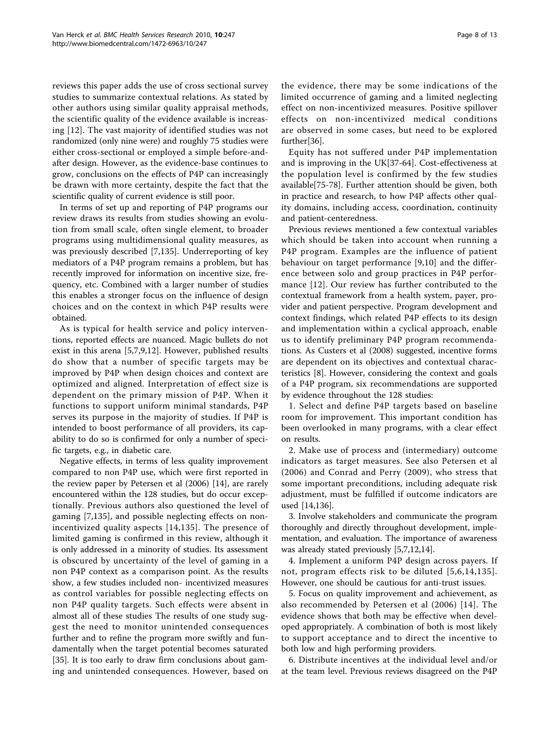reviews this paper adds the use of cross sectional survey studies to summarize contextual relations. As stated by other authors using similar quality appraisal methods, the scientific quality of the evidence available is increasing [[12](#page-9-0)]. The vast majority of identified studies was not randomized (only nine were) and roughly 75 studies were either cross-sectional or employed a simple before-andafter design. However, as the evidence-base continues to grow, conclusions on the effects of P4P can increasingly be drawn with more certainty, despite the fact that the scientific quality of current evidence is still poor.

In terms of set up and reporting of P4P programs our review draws its results from studies showing an evolution from small scale, often single element, to broader programs using multidimensional quality measures, as was previously described [[7](#page-9-0),[135\]](#page-12-0). Underreporting of key mediators of a P4P program remains a problem, but has recently improved for information on incentive size, frequency, etc. Combined with a larger number of studies this enables a stronger focus on the influence of design choices and on the context in which P4P results were obtained.

As is typical for health service and policy interventions, reported effects are nuanced. Magic bullets do not exist in this arena [[5,7,9,12](#page-9-0)]. However, published results do show that a number of specific targets may be improved by P4P when design choices and context are optimized and aligned. Interpretation of effect size is dependent on the primary mission of P4P. When it functions to support uniform minimal standards, P4P serves its purpose in the majority of studies. If P4P is intended to boost performance of all providers, its capability to do so is confirmed for only a number of specific targets, e.g., in diabetic care.

Negative effects, in terms of less quality improvement compared to non P4P use, which were first reported in the review paper by Petersen et al (2006) [\[14\]](#page-9-0), are rarely encountered within the 128 studies, but do occur exceptionally. Previous authors also questioned the level of gaming [[7,](#page-9-0)[135](#page-12-0)], and possible neglecting effects on nonincentivized quality aspects [[14](#page-9-0),[135](#page-12-0)]. The presence of limited gaming is confirmed in this review, although it is only addressed in a minority of studies. Its assessment is obscured by uncertainty of the level of gaming in a non P4P context as a comparison point. As the results show, a few studies included non- incentivized measures as control variables for possible neglecting effects on non P4P quality targets. Such effects were absent in almost all of these studies The results of one study suggest the need to monitor unintended consequences further and to refine the program more swiftly and fundamentally when the target potential becomes saturated [[35\]](#page-9-0). It is too early to draw firm conclusions about gaming and unintended consequences. However, based on

the evidence, there may be some indications of the limited occurrence of gaming and a limited neglecting effect on non-incentivized measures. Positive spillover effects on non-incentivized medical conditions are observed in some cases, but need to be explored further[\[36\]](#page-9-0).

Equity has not suffered under P4P implementation and is improving in the UK[\[37](#page-9-0)-[64\]](#page-10-0). Cost-effectiveness at the population level is confirmed by the few studies available[[75-78](#page-10-0)]. Further attention should be given, both in practice and research, to how P4P affects other quality domains, including access, coordination, continuity and patient-centeredness.

Previous reviews mentioned a few contextual variables which should be taken into account when running a P4P program. Examples are the influence of patient behaviour on target performance [\[9](#page-9-0),[10\]](#page-9-0) and the difference between solo and group practices in P4P performance [[12](#page-9-0)]. Our review has further contributed to the contextual framework from a health system, payer, provider and patient perspective. Program development and context findings, which related P4P effects to its design and implementation within a cyclical approach, enable us to identify preliminary P4P program recommendations. As Custers et al (2008) suggested, incentive forms are dependent on its objectives and contextual characteristics [[8\]](#page-9-0). However, considering the context and goals of a P4P program, six recommendations are supported by evidence throughout the 128 studies:

1. Select and define P4P targets based on baseline room for improvement. This important condition has been overlooked in many programs, with a clear effect on results.

2. Make use of process and (intermediary) outcome indicators as target measures. See also Petersen et al (2006) and Conrad and Perry (2009), who stress that some important preconditions, including adequate risk adjustment, must be fulfilled if outcome indicators are used [[14](#page-9-0),[136](#page-12-0)].

3. Involve stakeholders and communicate the program thoroughly and directly throughout development, implementation, and evaluation. The importance of awareness was already stated previously [\[5,7,12,14\]](#page-9-0).

4. Implement a uniform P4P design across payers. If not, program effects risk to be diluted [[5,6,14](#page-9-0),[135\]](#page-12-0). However, one should be cautious for anti-trust issues.

5. Focus on quality improvement and achievement, as also recommended by Petersen et al (2006) [[14](#page-9-0)]. The evidence shows that both may be effective when developed appropriately. A combination of both is most likely to support acceptance and to direct the incentive to both low and high performing providers.

6. Distribute incentives at the individual level and/or at the team level. Previous reviews disagreed on the P4P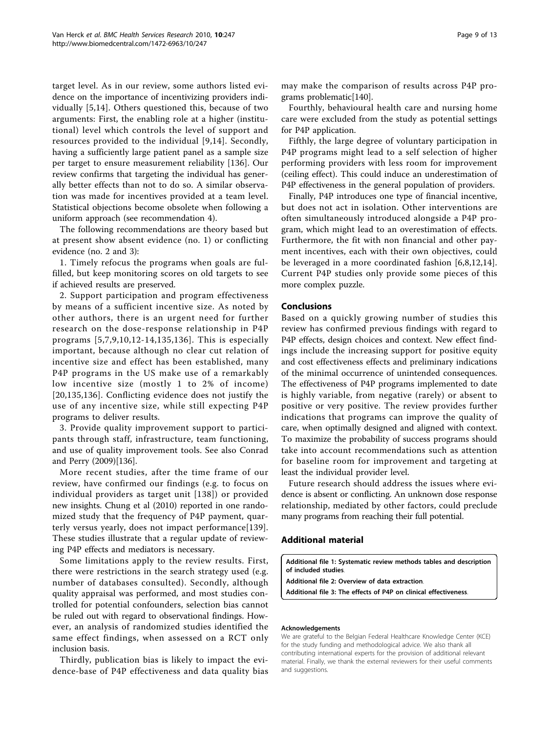<span id="page-8-0"></span>target level. As in our review, some authors listed evidence on the importance of incentivizing providers individually [\[5](#page-9-0),[14](#page-9-0)]. Others questioned this, because of two arguments: First, the enabling role at a higher (institutional) level which controls the level of support and resources provided to the individual [\[9,14](#page-9-0)]. Secondly, having a sufficiently large patient panel as a sample size per target to ensure measurement reliability [[136\]](#page-12-0). Our review confirms that targeting the individual has generally better effects than not to do so. A similar observation was made for incentives provided at a team level. Statistical objections become obsolete when following a uniform approach (see recommendation 4).

The following recommendations are theory based but at present show absent evidence (no. 1) or conflicting evidence (no. 2 and 3):

1. Timely refocus the programs when goals are fulfilled, but keep monitoring scores on old targets to see if achieved results are preserved.

2. Support participation and program effectiveness by means of a sufficient incentive size. As noted by other authors, there is an urgent need for further research on the dose-response relationship in P4P programs [[5](#page-9-0),[7,9,10,12-14,](#page-9-0)[135,136](#page-12-0)]. This is especially important, because although no clear cut relation of incentive size and effect has been established, many P4P programs in the US make use of a remarkably low incentive size (mostly 1 to 2% of income) [[20](#page-9-0),[135,136\]](#page-12-0). Conflicting evidence does not justify the use of any incentive size, while still expecting P4P programs to deliver results.

3. Provide quality improvement support to participants through staff, infrastructure, team functioning, and use of quality improvement tools. See also Conrad and Perry (2009)[[136](#page-12-0)].

More recent studies, after the time frame of our review, have confirmed our findings (e.g. to focus on individual providers as target unit [[138](#page-12-0)]) or provided new insights. Chung et al (2010) reported in one randomized study that the frequency of P4P payment, quarterly versus yearly, does not impact performance[[139](#page-12-0)]. These studies illustrate that a regular update of reviewing P4P effects and mediators is necessary.

Some limitations apply to the review results. First, there were restrictions in the search strategy used (e.g. number of databases consulted). Secondly, although quality appraisal was performed, and most studies controlled for potential confounders, selection bias cannot be ruled out with regard to observational findings. However, an analysis of randomized studies identified the same effect findings, when assessed on a RCT only inclusion basis.

Thirdly, publication bias is likely to impact the evidence-base of P4P effectiveness and data quality bias may make the comparison of results across P4P programs problematic[\[140\]](#page-12-0).

Fourthly, behavioural health care and nursing home care were excluded from the study as potential settings for P4P application.

Fifthly, the large degree of voluntary participation in P4P programs might lead to a self selection of higher performing providers with less room for improvement (ceiling effect). This could induce an underestimation of P4P effectiveness in the general population of providers.

Finally, P4P introduces one type of financial incentive, but does not act in isolation. Other interventions are often simultaneously introduced alongside a P4P program, which might lead to an overestimation of effects. Furthermore, the fit with non financial and other payment incentives, each with their own objectives, could be leveraged in a more coordinated fashion [[6,8](#page-9-0),[12,14](#page-9-0)]. Current P4P studies only provide some pieces of this more complex puzzle.

### Conclusions

Based on a quickly growing number of studies this review has confirmed previous findings with regard to P4P effects, design choices and context. New effect findings include the increasing support for positive equity and cost effectiveness effects and preliminary indications of the minimal occurrence of unintended consequences. The effectiveness of P4P programs implemented to date is highly variable, from negative (rarely) or absent to positive or very positive. The review provides further indications that programs can improve the quality of care, when optimally designed and aligned with context. To maximize the probability of success programs should take into account recommendations such as attention for baseline room for improvement and targeting at least the individual provider level.

Future research should address the issues where evidence is absent or conflicting. An unknown dose response relationship, mediated by other factors, could preclude many programs from reaching their full potential.

#### Additional material

[Additional file 1: S](http://www.biomedcentral.com/content/supplementary/1472-6963-10-247-S1.DOC)ystematic review methods tables and description of included studies.

[Additional file 2: O](http://www.biomedcentral.com/content/supplementary/1472-6963-10-247-S2.XLS)verview of data extraction.

[Additional file 3: T](http://www.biomedcentral.com/content/supplementary/1472-6963-10-247-S3.DOCX)he effects of P4P on clinical effectiveness.

#### Acknowledgements

We are grateful to the Belgian Federal Healthcare Knowledge Center (KCE) for the study funding and methodological advice. We also thank all contributing international experts for the provision of additional relevant material. Finally, we thank the external reviewers for their useful comments and suggestions.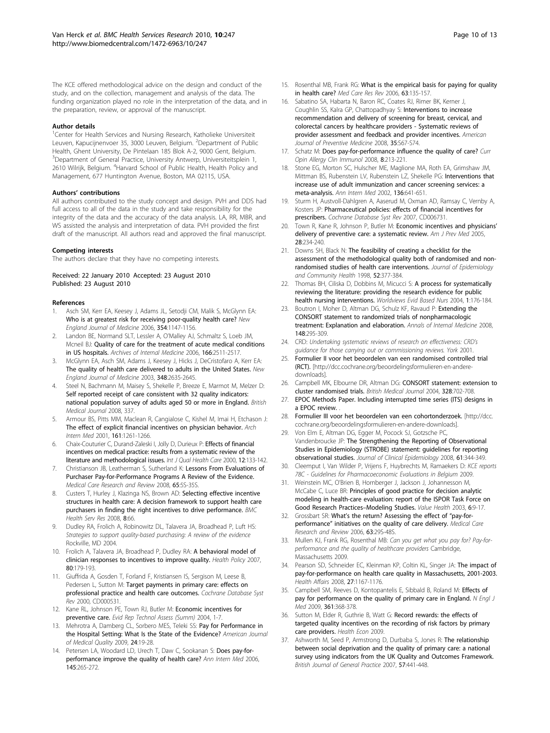<span id="page-9-0"></span>The KCE offered methodological advice on the design and conduct of the study, and on the collection, management and analysis of the data. The funding organization played no role in the interpretation of the data, and in the preparation, review, or approval of the manuscript.

#### Author details

<sup>1</sup>Center for Health Services and Nursing Research, Katholieke Universiteit Leuven, Kapucijnenvoer 35, 3000 Leuven, Belgium. <sup>2</sup>Department of Public Health, Ghent University, De Pintelaan 185 Blok A-2, 9000 Gent, Belgium. <sup>3</sup>Department of General Practice, University Antwerp, Universiteitsplein 1, 2610 Wilrijk, Belgium. <sup>4</sup>Harvard School of Public Health, Health Policy and Management, 677 Huntington Avenue, Boston, MA 02115, USA.

#### Authors' contributions

All authors contributed to the study concept and design. PVH and DDS had full access to all of the data in the study and take responsibility for the integrity of the data and the accuracy of the data analysis. LA, RR, MBR, and WS assisted the analysis and interpretation of data. PVH provided the first draft of the manuscript. All authors read and approved the final manuscript.

#### Competing interests

The authors declare that they have no competing interests.

#### Received: 22 January 2010 Accepted: 23 August 2010 Published: 23 August 2010

#### References

- Asch SM, Kerr EA, Keesey J, Adams JL, Setodji CM, Malik S, McGlynn EA: [Who is at greatest risk for receiving poor-quality health care?](http://www.ncbi.nlm.nih.gov/pubmed/16540615?dopt=Abstract) New England Journal of Medicine 2006, 354:1147-1156.
- 2. Landon BE, Normand SLT, Lessler A, O'Malley AJ, Schmaltz S, Loeb JM, Mcneil BJ: [Quality of care for the treatment of acute medical conditions](http://www.ncbi.nlm.nih.gov/pubmed/17159018?dopt=Abstract) [in US hospitals.](http://www.ncbi.nlm.nih.gov/pubmed/17159018?dopt=Abstract) Archives of Internal Medicine 2006, 166:2511-2517.
- 3. McGlynn EA, Asch SM, Adams J, Keesey J, Hicks J, DeCristofaro A, Kerr EA: [The quality of health care delivered to adults in the United States.](http://www.ncbi.nlm.nih.gov/pubmed/12826639?dopt=Abstract) New England Journal of Medicine 2003, 348:2635-2645.
- Steel N, Bachmann M, Maisey S, Shekelle P, Breeze E, Marmot M, Melzer D: [Self reported receipt of care consistent with 32 quality indicators:](http://www.ncbi.nlm.nih.gov/pubmed/18230643?dopt=Abstract) [national population survey of adults aged 50 or more in England.](http://www.ncbi.nlm.nih.gov/pubmed/18230643?dopt=Abstract) British Medical Journal 2008, 337.
- Armour BS, Pitts MM, Maclean R, Cangialose C, Kishel M, Imai H, Etchason J: [The effect of explicit financial incentives on physician behavior.](http://www.ncbi.nlm.nih.gov/pubmed/11371253?dopt=Abstract) Arch Intern Med 2001, 161:1261-1266.
- Chaix-Couturier C, Durand-Zaleski I, Jolly D, Durieux P: [Effects of financial](http://www.ncbi.nlm.nih.gov/pubmed/10830670?dopt=Abstract) [incentives on medical practice: results from a systematic review of the](http://www.ncbi.nlm.nih.gov/pubmed/10830670?dopt=Abstract) [literature and methodological issues.](http://www.ncbi.nlm.nih.gov/pubmed/10830670?dopt=Abstract) Int J Qual Health Care 2000, 12:133-142.
- 7. Christianson JB, Leatherman S, Sutherland K: [Lessons From Evaluations of](http://www.ncbi.nlm.nih.gov/pubmed/19015377?dopt=Abstract) [Purchaser Pay-for-Performance Programs A Review of the Evidence.](http://www.ncbi.nlm.nih.gov/pubmed/19015377?dopt=Abstract) Medical Care Research and Review 2008, 65:5S-35S.
- Custers T, Hurley J, Klazinga NS, Brown AD: [Selecting effective incentive](http://www.ncbi.nlm.nih.gov/pubmed/18371198?dopt=Abstract) [structures in health care: A decision framework to support health care](http://www.ncbi.nlm.nih.gov/pubmed/18371198?dopt=Abstract) [purchasers in finding the right incentives to drive performance.](http://www.ncbi.nlm.nih.gov/pubmed/18371198?dopt=Abstract) BMC Health Serv Res 2008, 8:66.
- 9. Dudley RA, Frolich A, Robinowitz DL, Talavera JA, Broadhead P, Luft HS: Strategies to support quality-based purchasing: A review of the evidence Rockville, MD 2004.
- 10. Frolich A, Talavera JA, Broadhead P, Dudley RA: [A behavioral model of](http://www.ncbi.nlm.nih.gov/pubmed/16624440?dopt=Abstract) [clinician responses to incentives to improve quality.](http://www.ncbi.nlm.nih.gov/pubmed/16624440?dopt=Abstract) Health Policy 2007, 80:179-193.
- 11. Giuffrida A, Gosden T, Forland F, Kristiansen IS, Sergison M, Leese B, Pedersen L, Sutton M: [Target payments in primary care: effects on](http://www.ncbi.nlm.nih.gov/pubmed/10908475?dopt=Abstract) [professional practice and health care outcomes.](http://www.ncbi.nlm.nih.gov/pubmed/10908475?dopt=Abstract) Cochrane Database Syst Rev 2000, CD000531.
- 12. Kane RL, Johnson PE, Town RJ, Butler M: Economic incentives for preventive care. Evid Rep Technol Assess (Summ) 2004, 1-7.
- 13. Mehrotra A, Damberg CL, Sorbero MES, Teleki SS: [Pay for Performance in](http://www.ncbi.nlm.nih.gov/pubmed/19073941?dopt=Abstract) [the Hospital Setting: What Is the State of the Evidence?](http://www.ncbi.nlm.nih.gov/pubmed/19073941?dopt=Abstract) American Journal of Medical Quality 2009, 24:19-28.
- 14. Petersen LA, Woodard LD, Urech T, Daw C, Sookanan S: [Does pay-for](http://www.ncbi.nlm.nih.gov/pubmed/16908917?dopt=Abstract)[performance improve the quality of health care?](http://www.ncbi.nlm.nih.gov/pubmed/16908917?dopt=Abstract) Ann Intern Med 2006, 145:265-272.
- 15. Rosenthal MB, Frank RG: [What is the empirical basis for paying for quality](http://www.ncbi.nlm.nih.gov/pubmed/16595409?dopt=Abstract) [in health care?](http://www.ncbi.nlm.nih.gov/pubmed/16595409?dopt=Abstract) Med Care Res Rev 2006, 63:135-157.
- 16. Sabatino SA, Habarta N, Baron RC, Coates RJ, Rimer BK, Kerner J, Coughlin SS, Kalra GP, Chattopadhyay S: [Interventions to increase](http://www.ncbi.nlm.nih.gov/pubmed/18541190?dopt=Abstract) [recommendation and delivery of screening for breast, cervical, and](http://www.ncbi.nlm.nih.gov/pubmed/18541190?dopt=Abstract) [colorectal cancers by healthcare providers - Systematic reviews of](http://www.ncbi.nlm.nih.gov/pubmed/18541190?dopt=Abstract) [provider assessment and feedback and provider incentives.](http://www.ncbi.nlm.nih.gov/pubmed/18541190?dopt=Abstract) American Journal of Preventive Medicine 2008, 35:S67-S74.
- 17. Schatz M: [Does pay-for-performance influence the quality of care?](http://www.ncbi.nlm.nih.gov/pubmed/18560295?dopt=Abstract) Curr Opin Allergy Clin Immunol 2008, 8:213-221.
- 18. Stone EG, Morton SC, Hulscher ME, Maglione MA, Roth EA, Grimshaw JM, Mittman BS, Rubenstein LV, Rubenstein LZ, Shekelle PG: [Interventions that](http://www.ncbi.nlm.nih.gov/pubmed/11992299?dopt=Abstract) [increase use of adult immunization and cancer screening services: a](http://www.ncbi.nlm.nih.gov/pubmed/11992299?dopt=Abstract) [meta-analysis.](http://www.ncbi.nlm.nih.gov/pubmed/11992299?dopt=Abstract) Ann Intern Med 2002, 136:641-651.
- 19. Sturm H, Austvoll-Dahlgren A, Aaserud M, Oxman AD, Ramsay C, Vernby A, Kosters JP: [Pharmaceutical policies: effects of financial incentives for](http://www.ncbi.nlm.nih.gov/pubmed/17636851?dopt=Abstract) [prescribers.](http://www.ncbi.nlm.nih.gov/pubmed/17636851?dopt=Abstract) Cochrane Database Syst Rev 2007, CD006731.
- 20. Town R, Kane R, Johnson P, Butler M: [Economic incentives and physicians](http://www.ncbi.nlm.nih.gov/pubmed/15710282?dopt=Abstract)' [delivery of preventive care: a systematic review.](http://www.ncbi.nlm.nih.gov/pubmed/15710282?dopt=Abstract) Am J Prev Med 2005, 28:234-240.
- 21. Downs SH, Black N: [The feasibility of creating a checklist for the](http://www.ncbi.nlm.nih.gov/pubmed/9764259?dopt=Abstract) [assessment of the methodological quality both of randomised and non](http://www.ncbi.nlm.nih.gov/pubmed/9764259?dopt=Abstract)[randomised studies of health care interventions.](http://www.ncbi.nlm.nih.gov/pubmed/9764259?dopt=Abstract) Journal of Epidemiology and Community Health 1998, 52:377-384.
- 22. Thomas BH, Ciliska D, Dobbins M, Micucci S: [A process for systematically](http://www.ncbi.nlm.nih.gov/pubmed/17163895?dopt=Abstract) [reviewing the literature: providing the research evidence for public](http://www.ncbi.nlm.nih.gov/pubmed/17163895?dopt=Abstract) [health nursing interventions.](http://www.ncbi.nlm.nih.gov/pubmed/17163895?dopt=Abstract) Worldviews Evid Based Nurs 2004, 1:176-184.
- 23. Boutron J. Moher D. Altman DG, Schulz KE, Ravaud P: [Extending the](http://www.ncbi.nlm.nih.gov/pubmed/18283207?dopt=Abstract) [CONSORT statement to randomized trials of nonpharmacologic](http://www.ncbi.nlm.nih.gov/pubmed/18283207?dopt=Abstract) [treatment: Explanation and elaboration.](http://www.ncbi.nlm.nih.gov/pubmed/18283207?dopt=Abstract) Annals of Internal Medicine 2008, 148:295-309.
- 24. CRD: Undertaking systematic reviews of research on effectiveness: CRD's guidance for those carrying out or commissioning reviews. York 2001.
- 25. Formulier II voor het beoordelen van een randomised controlled trial (RCT). [[http://dcc.cochrane.org/beoordelingsformulieren-en-andere](http://dcc.cochrane.org/beoordelingsformulieren-en-andere-downloads)[downloads](http://dcc.cochrane.org/beoordelingsformulieren-en-andere-downloads)].
- 26. Campbell MK, Elbourne DR, Altman DG: [CONSORT statement: extension to](http://www.ncbi.nlm.nih.gov/pubmed/15031246?dopt=Abstract) [cluster randomised trials.](http://www.ncbi.nlm.nih.gov/pubmed/15031246?dopt=Abstract) British Medical Journal 2004, 328:702-708.
- 27. EPOC Methods Paper. Including interrupted time series (ITS) designs in a EPOC review.
- 28. Formulier III voor het beoordelen van een cohortonderzoek. [[http://dcc.](http://dcc.cochrane.org/beoordelingsformulieren-en-andere-downloads) [cochrane.org/beoordelingsformulieren-en-andere-downloads\]](http://dcc.cochrane.org/beoordelingsformulieren-en-andere-downloads).
- 29. Von Elm E, Altman DG, Egger M, Pocock SJ, Gotzsche PC, Vandenbroucke JP: [The Strengthening the Reporting of Observational](http://www.ncbi.nlm.nih.gov/pubmed/18313558?dopt=Abstract) [Studies in Epidemiology \(STROBE\) statement: guidelines for reporting](http://www.ncbi.nlm.nih.gov/pubmed/18313558?dopt=Abstract) [observational studies.](http://www.ncbi.nlm.nih.gov/pubmed/18313558?dopt=Abstract) Journal of Clinical Epidemiology 2008, 61:344-349.
- 30. Cleemput I, Van Wilder P, Vrijens F, Huybrechts M, Ramaekers D: KCE reports 78C - Guidelines for Pharmacoeconomic Evaluations in Belgium 2009.
- 31. Weinstein MC, O'Brien B, Hornberger J, Jackson J, Johannesson M, McCabe C, Luce BR: [Principles of good practice for decision analytic](http://www.ncbi.nlm.nih.gov/pubmed/12535234?dopt=Abstract) [modeling in health-care evaluation: report of the ISPOR Task Force on](http://www.ncbi.nlm.nih.gov/pubmed/12535234?dopt=Abstract) [Good Research Practices](http://www.ncbi.nlm.nih.gov/pubmed/12535234?dopt=Abstract)–Modeling Studies. Value Health 2003, 6:9-17.
- 32. Grossbart SR: What'[s the return? Assessing the effect of](http://www.ncbi.nlm.nih.gov/pubmed/16688923?dopt=Abstract) "pay-forperformance" [initiatives on the quality of care delivery.](http://www.ncbi.nlm.nih.gov/pubmed/16688923?dopt=Abstract) Medical Care Research and Review 2006, 63:29S-48S.
- 33. Mullen KJ, Frank RG, Rosenthal MB: Can you get what you pay for? Pay-forperformance and the quality of healthcare providers Cambridge, Massachusetts 2009.
- 34. Pearson SD, Schneider EC, Kleinman KP, Coltin KL, Singer JA: [The impact of](http://www.ncbi.nlm.nih.gov/pubmed/18607052?dopt=Abstract) [pay-for-performance on health care quality in Massachusetts, 2001-2003.](http://www.ncbi.nlm.nih.gov/pubmed/18607052?dopt=Abstract) Health Affairs 2008, 27:1167-1176.
- 35. Campbell SM, Reeves D, Kontopantelis E, Sibbald B, Roland M: [Effects of](http://www.ncbi.nlm.nih.gov/pubmed/19625717?dopt=Abstract) [pay for performance on the quality of primary care in England.](http://www.ncbi.nlm.nih.gov/pubmed/19625717?dopt=Abstract) N Engl J Med 2009, 361:368-378.
- 36. Sutton M, Elder R, Guthrie B, Watt G: [Record rewards: the effects of](http://www.ncbi.nlm.nih.gov/pubmed/18404665?dopt=Abstract) [targeted quality incentives on the recording of risk factors by primary](http://www.ncbi.nlm.nih.gov/pubmed/18404665?dopt=Abstract) [care providers.](http://www.ncbi.nlm.nih.gov/pubmed/18404665?dopt=Abstract) Health Econ 2009.
- Ashworth M, Seed P, Armstrong D, Durbaba S, Jones R: [The relationship](http://www.ncbi.nlm.nih.gov/pubmed/17550668?dopt=Abstract) [between social deprivation and the quality of primary care: a national](http://www.ncbi.nlm.nih.gov/pubmed/17550668?dopt=Abstract) [survey using indicators from the UK Quality and Outcomes Framework.](http://www.ncbi.nlm.nih.gov/pubmed/17550668?dopt=Abstract) British Journal of General Practice 2007, 57:441-448.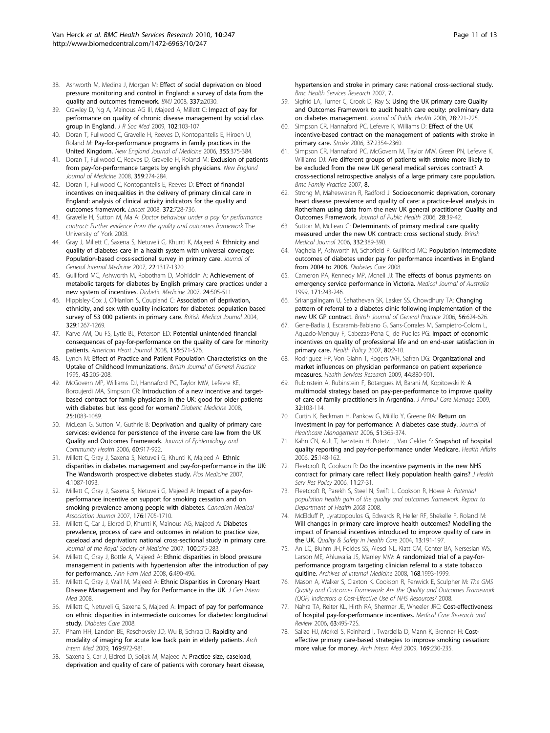- <span id="page-10-0"></span>38. Ashworth M, Medina J, Morgan M: [Effect of social deprivation on blood](http://www.ncbi.nlm.nih.gov/pubmed/18957697?dopt=Abstract) [pressure monitoring and control in England: a survey of data from the](http://www.ncbi.nlm.nih.gov/pubmed/18957697?dopt=Abstract) [quality and outcomes framework.](http://www.ncbi.nlm.nih.gov/pubmed/18957697?dopt=Abstract) BMJ 2008, 337:a2030.
- 39. Crawley D, Ng A, Mainous AG III, Majeed A, Millett C: [Impact of pay for](http://www.ncbi.nlm.nih.gov/pubmed/19297651?dopt=Abstract) [performance on quality of chronic disease management by social class](http://www.ncbi.nlm.nih.gov/pubmed/19297651?dopt=Abstract) [group in England.](http://www.ncbi.nlm.nih.gov/pubmed/19297651?dopt=Abstract) J R Soc Med 2009, 102:103-107.
- 40. Doran T, Fullwood C, Gravelle H, Reeves D, Kontopantelis E, Hiroeh U, Roland M: [Pay-for-performance programs in family practices in the](http://www.ncbi.nlm.nih.gov/pubmed/16870916?dopt=Abstract) [United Kingdom.](http://www.ncbi.nlm.nih.gov/pubmed/16870916?dopt=Abstract) New England Journal of Medicine 2006, 355:375-384.
- 41. Doran T, Fullwood C, Reeves D, Gravelle H, Roland M: [Exclusion of patients](http://www.ncbi.nlm.nih.gov/pubmed/18635432?dopt=Abstract) [from pay-for-performance targets by english physicians.](http://www.ncbi.nlm.nih.gov/pubmed/18635432?dopt=Abstract) New England Journal of Medicine 2008, 359:274-284.
- 42. Doran T, Fullwood C, Kontopantelis E, Reeves D: [Effect of financial](http://www.ncbi.nlm.nih.gov/pubmed/18701159?dopt=Abstract) [incentives on inequalities in the delivery of primary clinical care in](http://www.ncbi.nlm.nih.gov/pubmed/18701159?dopt=Abstract) [England: analysis of clinical activity indicators for the quality and](http://www.ncbi.nlm.nih.gov/pubmed/18701159?dopt=Abstract) [outcomes framework.](http://www.ncbi.nlm.nih.gov/pubmed/18701159?dopt=Abstract) Lancet 2008, 372:728-736.
- 43. Gravelle H, Sutton M, Ma A: Doctor behaviour under a pay for performance contract: Further evidence from the quality and outcomes framework The University of York 2008.
- 44. Gray J, Millett C, Saxena S, Netuveli G, Khunti K, Majeed A: [Ethnicity and](http://www.ncbi.nlm.nih.gov/pubmed/17594128?dopt=Abstract) [quality of diabetes care in a health system with universal coverage:](http://www.ncbi.nlm.nih.gov/pubmed/17594128?dopt=Abstract) [Population-based cross-sectional survey in primary care.](http://www.ncbi.nlm.nih.gov/pubmed/17594128?dopt=Abstract) Journal of General Internal Medicine 2007, 22:1317-1320.
- 45. Gulliford MC, Ashworth M, Robotham D, Mohiddin A: [Achievement of](http://www.ncbi.nlm.nih.gov/pubmed/17381507?dopt=Abstract) [metabolic targets for diabetes by English primary care practices under a](http://www.ncbi.nlm.nih.gov/pubmed/17381507?dopt=Abstract) [new system of incentives.](http://www.ncbi.nlm.nih.gov/pubmed/17381507?dopt=Abstract) Diabetic Medicine 2007, 24:505-511.
- 46. Hippisley-Cox J, O'Hanlon S, Coupland C: [Association of deprivation,](http://www.ncbi.nlm.nih.gov/pubmed/15548561?dopt=Abstract) [ethnicity, and sex with quality indicators for diabetes: population based](http://www.ncbi.nlm.nih.gov/pubmed/15548561?dopt=Abstract) [survey of 53 000 patients in primary care.](http://www.ncbi.nlm.nih.gov/pubmed/15548561?dopt=Abstract) British Medical Journal 2004, 329:1267-1269.
- 47. Karve AM, Ou FS, Lytle BL, Peterson ED: [Potential unintended financial](http://www.ncbi.nlm.nih.gov/pubmed/18294498?dopt=Abstract) [consequences of pay-for-performance on the quality of care for minority](http://www.ncbi.nlm.nih.gov/pubmed/18294498?dopt=Abstract) [patients.](http://www.ncbi.nlm.nih.gov/pubmed/18294498?dopt=Abstract) American Heart Journal 2008, 155:571-576.
- 48. Lynch M: [Effect of Practice and Patient Population Characteristics on the](http://www.ncbi.nlm.nih.gov/pubmed/7612323?dopt=Abstract) [Uptake of Childhood Immunizations.](http://www.ncbi.nlm.nih.gov/pubmed/7612323?dopt=Abstract) British Journal of General Practice 1995, 45:205-208.
- 49. McGovern MP, Williams DJ, Hannaford PC, Taylor MW, Lefevre KE, Boroujerdi MA, Simpson CR: [Introduction of a new incentive and target](http://www.ncbi.nlm.nih.gov/pubmed/18937676?dopt=Abstract)[based contract for family physicians in the UK: good for older patients](http://www.ncbi.nlm.nih.gov/pubmed/18937676?dopt=Abstract) [with diabetes but less good for women?](http://www.ncbi.nlm.nih.gov/pubmed/18937676?dopt=Abstract) Diabetic Medicine 2008, 25:1083-1089.
- 50. McLean G, Sutton M, Guthrie B: [Deprivation and quality of primary care](http://www.ncbi.nlm.nih.gov/pubmed/17053278?dopt=Abstract) [services: evidence for persistence of the inverse care law from the UK](http://www.ncbi.nlm.nih.gov/pubmed/17053278?dopt=Abstract) [Quality and Outcomes Framework.](http://www.ncbi.nlm.nih.gov/pubmed/17053278?dopt=Abstract) Journal of Epidemiology and Community Health 2006, 60:917-922.
- 51. Millett C, Gray J, Saxena S, Netuveli G, Khunti K, Majeed A: Ethnic disparities in diabetes management and pay-for-performance in the UK: The Wandsworth prospective diabetes study. Plos Medicine 2007, 4:1087-1093.
- 52. Millett C, Gray J, Saxena S, Netuveli G, Majeed A: [Impact of a pay-for](http://www.ncbi.nlm.nih.gov/pubmed/17548383?dopt=Abstract)[performance incentive on support for smoking cessation and on](http://www.ncbi.nlm.nih.gov/pubmed/17548383?dopt=Abstract) [smoking prevalence among people with diabetes.](http://www.ncbi.nlm.nih.gov/pubmed/17548383?dopt=Abstract) Canadian Medical Association Journal 2007, 176:1705-1710.
- 53. Millett C, Car J, Eldred D, Khunti K, Mainous AG, Majeed A: [Diabetes](http://www.ncbi.nlm.nih.gov/pubmed/17541098?dopt=Abstract) [prevalence, process of care and outcomes in relation to practice size,](http://www.ncbi.nlm.nih.gov/pubmed/17541098?dopt=Abstract) [caseload and deprivation: national cross-sectional study in primary care.](http://www.ncbi.nlm.nih.gov/pubmed/17541098?dopt=Abstract) Journal of the Royal Society of Medicine 2007, 100:275-283.
- 54. Millett C, Gray J, Bottle A, Majeed A: [Ethnic disparities in blood pressure](http://www.ncbi.nlm.nih.gov/pubmed/19001300?dopt=Abstract) [management in patients with hypertension after the introduction of pay](http://www.ncbi.nlm.nih.gov/pubmed/19001300?dopt=Abstract) [for performance.](http://www.ncbi.nlm.nih.gov/pubmed/19001300?dopt=Abstract) Ann Fam Med 2008, 6:490-496.
- 55. Millett C, Gray J, Wall M, Majeed A: [Ethnic Disparities in Coronary Heart](http://www.ncbi.nlm.nih.gov/pubmed/18953616?dopt=Abstract) [Disease Management and Pay for Performance in the UK.](http://www.ncbi.nlm.nih.gov/pubmed/18953616?dopt=Abstract) J Gen Intern Med 2008.
- 56. Millett C, Netuveli G, Saxena S, Majeed A: [Impact of pay for performance](http://www.ncbi.nlm.nih.gov/pubmed/19073759?dopt=Abstract) [on ethnic disparities in intermediate outcomes for diabetes: longitudinal](http://www.ncbi.nlm.nih.gov/pubmed/19073759?dopt=Abstract) [study.](http://www.ncbi.nlm.nih.gov/pubmed/19073759?dopt=Abstract) Diabetes Care 2008.
- 57. Pham HH, Landon BE, Reschovsky JD, Wu B, Schrag D: [Rapidity and](http://www.ncbi.nlm.nih.gov/pubmed/19468091?dopt=Abstract) [modality of imaging for acute low back pain in elderly patients.](http://www.ncbi.nlm.nih.gov/pubmed/19468091?dopt=Abstract) Arch Intern Med 2009, 169:972-981.
- 58. Saxena S, Car J, Eldred D, Soljak M, Majeed A: [Practice size, caseload,](http://www.ncbi.nlm.nih.gov/pubmed/17597518?dopt=Abstract) [deprivation and quality of care of patients with coronary heart disease,](http://www.ncbi.nlm.nih.gov/pubmed/17597518?dopt=Abstract)

[hypertension and stroke in primary care: national cross-sectional study.](http://www.ncbi.nlm.nih.gov/pubmed/17597518?dopt=Abstract) Bmc Health Services Research 2007, 7.

- 59. Sigfrid LA, Turner C, Crook D, Ray S: [Using the UK primary care Quality](http://www.ncbi.nlm.nih.gov/pubmed/16809789?dopt=Abstract) [and Outcomes Framework to audit health care equity: preliminary data](http://www.ncbi.nlm.nih.gov/pubmed/16809789?dopt=Abstract) [on diabetes management.](http://www.ncbi.nlm.nih.gov/pubmed/16809789?dopt=Abstract) Journal of Public Health 2006, 28:221-225.
- Simpson CR, Hannaford PC, Lefevre K, Williams D: [Effect of the UK](http://www.ncbi.nlm.nih.gov/pubmed/16873713?dopt=Abstract) [incentive-based contract on the management of patients with stroke in](http://www.ncbi.nlm.nih.gov/pubmed/16873713?dopt=Abstract) [primary care.](http://www.ncbi.nlm.nih.gov/pubmed/16873713?dopt=Abstract) Stroke 2006, 37:2354-2360.
- 61. Simpson CR, Hannaford PC, McGovern M, Taylor MW, Green PN, Lefevre K, Williams DJ: [Are different groups of patients with stroke more likely to](http://www.ncbi.nlm.nih.gov/pubmed/17900351?dopt=Abstract) [be excluded from the new UK general medical services contract? A](http://www.ncbi.nlm.nih.gov/pubmed/17900351?dopt=Abstract) [cross-sectional retrospective analysis of a large primary care population.](http://www.ncbi.nlm.nih.gov/pubmed/17900351?dopt=Abstract) Bmc Family Practice 2007, 8.
- 62. Strong M, Maheswaran R, Radford J: [Socioeconomic deprivation, coronary](http://www.ncbi.nlm.nih.gov/pubmed/16436452?dopt=Abstract) [heart disease prevalence and quality of care: a practice-level analysis in](http://www.ncbi.nlm.nih.gov/pubmed/16436452?dopt=Abstract) [Rotherham using data from the new UK general practitioner Quality and](http://www.ncbi.nlm.nih.gov/pubmed/16436452?dopt=Abstract) [Outcomes Framework.](http://www.ncbi.nlm.nih.gov/pubmed/16436452?dopt=Abstract) Journal of Public Health 2006, 28:39-42.
- 63. Sutton M, McLean G: [Determinants of primary medical care quality](http://www.ncbi.nlm.nih.gov/pubmed/16467345?dopt=Abstract) [measured under the new UK contract: cross sectional study.](http://www.ncbi.nlm.nih.gov/pubmed/16467345?dopt=Abstract) British Medical Journal 2006, 332:389-390.
- 64. Vaghela P, Ashworth M, Schofield P, Gulliford MC: [Population intermediate](http://www.ncbi.nlm.nih.gov/pubmed/19106379?dopt=Abstract) [outcomes of diabetes under pay for performance incentives in England](http://www.ncbi.nlm.nih.gov/pubmed/19106379?dopt=Abstract) [from 2004 to 2008.](http://www.ncbi.nlm.nih.gov/pubmed/19106379?dopt=Abstract) Diabetes Care 2008.
- 65. Cameron PA, Kennedy MP, Mcneil JJ: [The effects of bonus payments on](http://www.ncbi.nlm.nih.gov/pubmed/10495755?dopt=Abstract) [emergency service performance in Victoria.](http://www.ncbi.nlm.nih.gov/pubmed/10495755?dopt=Abstract) Medical Journal of Australia 1999, 171:243-246.
- 66. Srirangalingam U, Sahathevan SK, Lasker SS, Chowdhury TA: [Changing](http://www.ncbi.nlm.nih.gov/pubmed/16882382?dopt=Abstract) [pattern of referral to a diabetes clinic following implementation of the](http://www.ncbi.nlm.nih.gov/pubmed/16882382?dopt=Abstract) [new UK GP contract.](http://www.ncbi.nlm.nih.gov/pubmed/16882382?dopt=Abstract) British Journal of General Practice 2006, 56:624-626.
- 67. Gene-Badia J, Escaramis-Babiano G, Sans-Corrales M, Sampietro-Colom L, Aguado-Menguy F, Cabezas-Pena C, de Puelles PG: [Impact of economic](http://www.ncbi.nlm.nih.gov/pubmed/16546287?dopt=Abstract) [incentives on quality of professional life and on end-user satisfaction in](http://www.ncbi.nlm.nih.gov/pubmed/16546287?dopt=Abstract) [primary care.](http://www.ncbi.nlm.nih.gov/pubmed/16546287?dopt=Abstract) Health Policy 2007, 80:2-10.
- 68. Rodriguez HP, Von Glahn T, Rogers WH, Safran DG: [Organizational and](http://www.ncbi.nlm.nih.gov/pubmed/19674429?dopt=Abstract) [market influences on physician performance on patient experience](http://www.ncbi.nlm.nih.gov/pubmed/19674429?dopt=Abstract) [measures.](http://www.ncbi.nlm.nih.gov/pubmed/19674429?dopt=Abstract) Health Services Research 2009, 44:880-901.
- 69. Rubinstein A, Rubinstein F, Botargues M, Barani M, Kopitowski K: [A](http://www.ncbi.nlm.nih.gov/pubmed/19305222?dopt=Abstract) [multimodal strategy based on pay-per-performance to improve quality](http://www.ncbi.nlm.nih.gov/pubmed/19305222?dopt=Abstract) [of care of family practitioners in Argentina.](http://www.ncbi.nlm.nih.gov/pubmed/19305222?dopt=Abstract) J Ambul Care Manage 2009, 32:103-114.
- 70. Curtin K, Beckman H, Pankow G, Milillo Y, Greene RA: [Return on](http://www.ncbi.nlm.nih.gov/pubmed/17184001?dopt=Abstract) [investment in pay for performance: A diabetes case study.](http://www.ncbi.nlm.nih.gov/pubmed/17184001?dopt=Abstract) Journal of Healthcare Management 2006, 51:365-374.
- 71. Kahn CN, Ault T, Isenstein H, Potetz L, Van Gelder S: [Snapshot of hospital](http://www.ncbi.nlm.nih.gov/pubmed/17533665?dopt=Abstract) [quality reporting and pay-for-performance under Medicare.](http://www.ncbi.nlm.nih.gov/pubmed/17533665?dopt=Abstract) Health Affairs 2006, 25:148-162.
- 72. Fleetcroft R, Cookson R: [Do the incentive payments in the new NHS](http://www.ncbi.nlm.nih.gov/pubmed/16378529?dopt=Abstract) [contract for primary care reflect likely population health gains?](http://www.ncbi.nlm.nih.gov/pubmed/16378529?dopt=Abstract) J Health Serv Res Policy 2006, 11:27-31.
- 73. Fleetcroft R, Parekh S, Steel N, Swift L, Cookson R, Howe A: Potential population health gain of the quality and outcomes framework. Report to Department of Health 2008 2008.
- 74. McElduff P, Lyratzopoulos G, Edwards R, Heller RF, Shekelle P, Roland M: Will changes in primary care improve health outcomes? Modelling the impact of financial incentives introduced to improve quality of care in the UK. Quality & Safety in Health Care 2004, 13:191-197.
- 75. An LC, Bluhm JH, Foldes SS, Alesci NL, Klatt CM, Center BA, Nersesian WS, Larson ME, Ahluwalia JS, Manley MW: [A randomized trial of a pay-for](http://www.ncbi.nlm.nih.gov/pubmed/18852400?dopt=Abstract)[performance program targeting clinician referral to a state tobacco](http://www.ncbi.nlm.nih.gov/pubmed/18852400?dopt=Abstract) [quitline.](http://www.ncbi.nlm.nih.gov/pubmed/18852400?dopt=Abstract) Archives of Internal Medicine 2008, 168:1993-1999.
- 76. Mason A, Walker S, Claxton K, Cookson R, Fenwick E, Sculpher M: The GMS Quality and Outcomes Framework: Are the Quality and Outcomes Framework (QOF) Indicators a Cost-Effective Use of NHS Resources? 2008.
- 77. Nahra TA, Reiter KL, Hirth RA, Shermer JE, Wheeler JRC: [Cost-effectiveness](http://www.ncbi.nlm.nih.gov/pubmed/16688924?dopt=Abstract) [of hospital pay-for-performance incentives.](http://www.ncbi.nlm.nih.gov/pubmed/16688924?dopt=Abstract) Medical Care Research and Review 2006, 63:49S-72S.
- 78. Salize HJ, Merkel S, Reinhard I, Twardella D, Mann K, Brenner H: [Cost](http://www.ncbi.nlm.nih.gov/pubmed/19204212?dopt=Abstract)[effective primary care-based strategies to improve smoking cessation:](http://www.ncbi.nlm.nih.gov/pubmed/19204212?dopt=Abstract) [more value for money.](http://www.ncbi.nlm.nih.gov/pubmed/19204212?dopt=Abstract) Arch Intern Med 2009, 169:230-235.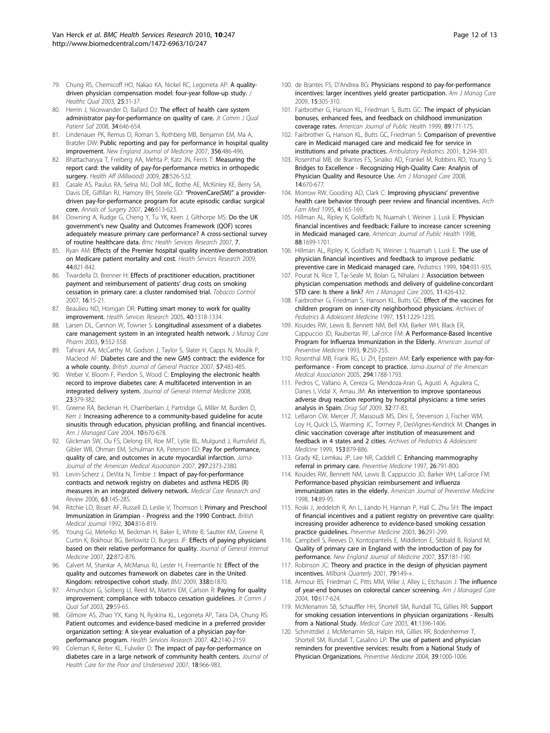- <span id="page-11-0"></span>79. Chung RS, Chernicoff HO, Nakao KA, Nickel RC, Legorreta AP: [A quality](http://www.ncbi.nlm.nih.gov/pubmed/14671855?dopt=Abstract)[driven physician compensation model: four-year follow-up study.](http://www.ncbi.nlm.nih.gov/pubmed/14671855?dopt=Abstract) J Healthc Qual 2003, 25:31-37.
- 80. Herrin J, Nicewander D, Ballard DJ: [The effect of health care system](http://www.ncbi.nlm.nih.gov/pubmed/19025085?dopt=Abstract) [administrator pay-for-performance on quality of care.](http://www.ncbi.nlm.nih.gov/pubmed/19025085?dopt=Abstract) Jt Comm J Qual Patient Saf 2008, 34:646-654.
- 81. Lindenauer PK, Remus D, Roman S, Rothberg MB, Benjamin EM, Ma A, Bratzler DW: [Public reporting and pay for performance in hospital quality](http://www.ncbi.nlm.nih.gov/pubmed/17259444?dopt=Abstract) [improvement.](http://www.ncbi.nlm.nih.gov/pubmed/17259444?dopt=Abstract) New England Journal of Medicine 2007, 356:486-496.
- 82. Bhattacharyya T, Freiberg AA, Mehta P, Katz JN, Ferris T: [Measuring the](http://www.ncbi.nlm.nih.gov/pubmed/19276012?dopt=Abstract) [report card: the validity of pay-for-performance metrics in orthopedic](http://www.ncbi.nlm.nih.gov/pubmed/19276012?dopt=Abstract) [surgery.](http://www.ncbi.nlm.nih.gov/pubmed/19276012?dopt=Abstract) Health Aff (Millwood) 2009, 28:526-532.
- 83. Casale AS, Paulus RA, Selna MJ, Doll MC, Bothe AE, McKinley KE, Berry SA, Davis DE, Gilfillan RJ, Hamory BH, Steele GD: "[ProvenCare\(SM\)](http://www.ncbi.nlm.nih.gov/pubmed/17893498?dopt=Abstract)" a provider[driven pay-for-performance program for acute episodic cardiac surgical](http://www.ncbi.nlm.nih.gov/pubmed/17893498?dopt=Abstract) [core.](http://www.ncbi.nlm.nih.gov/pubmed/17893498?dopt=Abstract) Annals of Surgery 2007, 246:613-623.
- 84. Downing A, Rudge G, Cheng Y, Tu YK, Keen J, Gilthorpe MS: [Do the UK](http://www.ncbi.nlm.nih.gov/pubmed/17941984?dopt=Abstract) government'[s new Quality and Outcomes Framework \(QOF\) scores](http://www.ncbi.nlm.nih.gov/pubmed/17941984?dopt=Abstract) [adequately measure primary care performance? A cross-sectional survey](http://www.ncbi.nlm.nih.gov/pubmed/17941984?dopt=Abstract) [of routine healthcare data.](http://www.ncbi.nlm.nih.gov/pubmed/17941984?dopt=Abstract) Bmc Health Services Research 2007, 7.
- 85. Ryan AM: [Effects of the Premier hospital quality incentive demonstration](http://www.ncbi.nlm.nih.gov/pubmed/19674427?dopt=Abstract) [on Medicare patient mortality and cost.](http://www.ncbi.nlm.nih.gov/pubmed/19674427?dopt=Abstract) Health Services Research 2009, 44:821-842.
- 86. Twardella D, Brenner H: [Effects of practitioner education, practitioner](http://www.ncbi.nlm.nih.gov/pubmed/17297068?dopt=Abstract) [payment and reimbursement of patients](http://www.ncbi.nlm.nih.gov/pubmed/17297068?dopt=Abstract)' drug costs on smoking [cessation in primary care: a cluster randomised trial.](http://www.ncbi.nlm.nih.gov/pubmed/17297068?dopt=Abstract) Tobacco Control 2007, 16:15-21.
- 87. Beaulieu ND, Horrigan DR: [Putting smart money to work for quality](http://www.ncbi.nlm.nih.gov/pubmed/16174136?dopt=Abstract) [improvement.](http://www.ncbi.nlm.nih.gov/pubmed/16174136?dopt=Abstract) Health Services Research 2005, 40:1318-1334.
- 88. Larsen DL, Cannon W, Towner S: [Longitudinal assessment of a diabetes](http://www.ncbi.nlm.nih.gov/pubmed/14664663?dopt=Abstract) [care management system in an integrated health network.](http://www.ncbi.nlm.nih.gov/pubmed/14664663?dopt=Abstract) J Manag Care Pharm 2003, 9:552-558.
- 89. Tahrani AA, McCarthy M, Godson J, Taylor S, Slater H, Capps N, Moulik P, Macleod AF: [Diabetes care and the new GMS contract: the evidence for](http://www.ncbi.nlm.nih.gov/pubmed/17550674?dopt=Abstract) [a whole county.](http://www.ncbi.nlm.nih.gov/pubmed/17550674?dopt=Abstract) British Journal of General Practice 2007, 57:483-485.
- 90. Weber V, Bloom F, Pierdon S, Wood C: [Employing the electronic health](http://www.ncbi.nlm.nih.gov/pubmed/18373133?dopt=Abstract) [record to improve diabetes care: A multifaceted intervention in an](http://www.ncbi.nlm.nih.gov/pubmed/18373133?dopt=Abstract) [integrated delivery system.](http://www.ncbi.nlm.nih.gov/pubmed/18373133?dopt=Abstract) Journal of General Internal Medicine 2008, 23:379-382.
- 91. Greene RA, Beckman H, Chamberlain J, Partridge G, Miller M, Burden D, Kerr J: Increasing adherence to a community-based guideline for acute sinusitis through education, physician profiling, and financial incentives. Am J Managed Care 2004, 10:670-678.
- 92. Glickman SW, Ou FS, Delong ER, Roe MT, Lytle BL, Mulgund J, Rumsfeld JS, Gibler WB, Ohman EM, Schulman KA, Peterson ED: Pay for performance, quality of care, and outcomes in acute myocardial infarction. Jama-Journal of the American Medical Association 2007, 297:2373-2380.
- 93. Levin-Scherz J, DeVita N, Timbie J: [Impact of pay-for-performance](http://www.ncbi.nlm.nih.gov/pubmed/16688922?dopt=Abstract) [contracts and network registry on diabetes and asthma HEDIS \(R\)](http://www.ncbi.nlm.nih.gov/pubmed/16688922?dopt=Abstract) [measures in an integrated delivery network.](http://www.ncbi.nlm.nih.gov/pubmed/16688922?dopt=Abstract) Medical Care Research and Review 2006, 63:14S-28S.
- 94. Ritchie LD, Bisset AF, Russell D, Leslie V, Thomson I: [Primary and Preschool](http://www.ncbi.nlm.nih.gov/pubmed/1392710?dopt=Abstract) [Immunization in Grampian - Progress and the 1990 Contract.](http://www.ncbi.nlm.nih.gov/pubmed/1392710?dopt=Abstract) British Medical Journal 1992, 304:816-819.
- 95. Young GJ, Meterko M, Beckman H, Baker E, White B, Sautter KM, Greene R, Curtin K, Bokhour BG, Berlowitz D, Burgess JF: [Effects of paying physicians](http://www.ncbi.nlm.nih.gov/pubmed/17443360?dopt=Abstract) [based on their relative performance for quality.](http://www.ncbi.nlm.nih.gov/pubmed/17443360?dopt=Abstract) Journal of General Internal Medicine 2007, 22:872-876.
- 96. Calvert M, Shankar A, McManus RJ, Lester H, Freemantle N: [Effect of the](http://www.ncbi.nlm.nih.gov/pubmed/19474024?dopt=Abstract) [quality and outcomes framework on diabetes care in the United](http://www.ncbi.nlm.nih.gov/pubmed/19474024?dopt=Abstract) [Kingdom: retrospective cohort study.](http://www.ncbi.nlm.nih.gov/pubmed/19474024?dopt=Abstract) BMJ 2009, 338:b1870.
- 97. Amundson G, Solberg LI, Reed M, Martini EM, Carlson R: [Paying for quality](http://www.ncbi.nlm.nih.gov/pubmed/12616920?dopt=Abstract) [improvement: compliance with tobacco cessation guidelines.](http://www.ncbi.nlm.nih.gov/pubmed/12616920?dopt=Abstract) Jt Comm J Qual Saf 2003, 29:59-65.
- 98. Gilmore AS, Zhao YX, Kang N, Ryskina KL, Legorreta AP, Taira DA, Chung RS: [Patient outcomes and evidence-based medicine in a preferred provider](http://www.ncbi.nlm.nih.gov/pubmed/17995557?dopt=Abstract) [organization setting: A six-year evaluation of a physician pay-for](http://www.ncbi.nlm.nih.gov/pubmed/17995557?dopt=Abstract)[performance program.](http://www.ncbi.nlm.nih.gov/pubmed/17995557?dopt=Abstract) Health Services Research 2007, 42:2140-2159
- 99. Coleman K, Reiter KL, Fulwiler D: [The impact of pay-for-performance on](http://www.ncbi.nlm.nih.gov/pubmed/17982218?dopt=Abstract) [diabetes care in a large network of community health centers.](http://www.ncbi.nlm.nih.gov/pubmed/17982218?dopt=Abstract) Journal of Health Care for the Poor and Underserved 2007, 18:966-983.
- 100. de Brantes FS, D'Andrea BG: [Physicians respond to pay-for-performance](http://www.ncbi.nlm.nih.gov/pubmed/19435398?dopt=Abstract) [incentives: larger incentives yield greater participation.](http://www.ncbi.nlm.nih.gov/pubmed/19435398?dopt=Abstract) Am J Manag Care 2009, 15:305-310.
- 101. Fairbrother G, Hanson KL, Friedman S, Butts GC: [The impact of physician](http://www.ncbi.nlm.nih.gov/pubmed/9949744?dopt=Abstract) [bonuses, enhanced fees, and feedback on childhood immunization](http://www.ncbi.nlm.nih.gov/pubmed/9949744?dopt=Abstract) [coverage rates.](http://www.ncbi.nlm.nih.gov/pubmed/9949744?dopt=Abstract) American Journal of Public Health 1999, 89:171-175.
- 102. Fairbrother G, Hanson KL, Butts GC, Friedman S: [Comparison of preventive](http://www.ncbi.nlm.nih.gov/pubmed/11888418?dopt=Abstract) [care in Medicaid managed care and medicaid fee for service in](http://www.ncbi.nlm.nih.gov/pubmed/11888418?dopt=Abstract) [institutions and private practices.](http://www.ncbi.nlm.nih.gov/pubmed/11888418?dopt=Abstract) Ambulatory Pediatrics 2001, 1:294-301.
- 103. Rosenthal MB, de Brantes FS, Sinaiko AD, Frankel M, Robbins RD, Young S: Bridges to Excellence - Recognizing High-Quality Care: Analysis of Physician Quality and Resource Use. Am J Managed Care 2008, 14:670-677.
- 104. Morrow RW, Gooding AD, Clark C: [Improving physicians](http://www.ncbi.nlm.nih.gov/pubmed/7842155?dopt=Abstract)' preventive [health care behavior through peer review and financial incentives.](http://www.ncbi.nlm.nih.gov/pubmed/7842155?dopt=Abstract) Arch Fam Med 1995, 4:165-169
- 105. Hillman AL, Ripley K, Goldfarb N, Nuamah I, Weiner J, Lusk E: [Physician](http://www.ncbi.nlm.nih.gov/pubmed/9807540?dopt=Abstract) [financial incentives and feedback: Failure to increase cancer screening](http://www.ncbi.nlm.nih.gov/pubmed/9807540?dopt=Abstract) [in Medicaid managed care.](http://www.ncbi.nlm.nih.gov/pubmed/9807540?dopt=Abstract) American Journal of Public Health 1998, 88:1699-1701.
- 106. Hillman AL, Ripley K, Goldfarb N, Weiner J, Nuamah I, Lusk E: [The use of](http://www.ncbi.nlm.nih.gov/pubmed/10506237?dopt=Abstract) [physician financial incentives and feedback to improve pediatric](http://www.ncbi.nlm.nih.gov/pubmed/10506237?dopt=Abstract) [preventive care in Medicaid managed care.](http://www.ncbi.nlm.nih.gov/pubmed/10506237?dopt=Abstract) Pediatrics 1999, 104:931-935.
- 107. Pourat N, Rice T, Tai-Seale M, Bolan G, Nihalani J: Association between physician compensation methods and delivery of guideline-concordant STD care: Is there a link? Am J Managed Care 2005, 11:426-432.
- 108. Fairbrother G, Friedman S, Hanson KL, Butts GC: Effect of the vaccines for children program on inner-city neighborhood physicians. Archives of Pediatrics & Adolescent Medicine 1997, 151:1229-1235.
- 109. Kouides RW, Lewis B, Bennett NM, Bell KM, Barker WH, Black ER, Cappuccio JD, Raubertas RF, LaForce FM: [A Performance-Based Incentive](http://www.ncbi.nlm.nih.gov/pubmed/8398226?dopt=Abstract) [Program for Influenza Immunization in the Elderly.](http://www.ncbi.nlm.nih.gov/pubmed/8398226?dopt=Abstract) American Journal of Preventive Medicine 1993, 9:250-255.
- 110. Rosenthal MB, Frank RG, Li ZH, Epstein AM: Early experience with pay-forperformance - From concept to practice. Jama-Journal of the American Medical Association 2005, 294:1788-1793.
- 111. Pedros C, Vallano A, Cereza G, Mendoza-Aran G, Agusti A, Aguilera C, Danes I, Vidal X, Arnau JM: [An intervention to improve spontaneous](http://www.ncbi.nlm.nih.gov/pubmed/19132807?dopt=Abstract) [adverse drug reaction reporting by hospital physicians: a time series](http://www.ncbi.nlm.nih.gov/pubmed/19132807?dopt=Abstract) [analysis in Spain.](http://www.ncbi.nlm.nih.gov/pubmed/19132807?dopt=Abstract) Drug Saf 2009, 32:77-83.
- 112. LeBaron CW, Mercer JT, Massoudi MS, Dini E, Stevenson J, Fischer WM, Loy H, Quick LS, Warming JC, Tormey P, DesVignes-Kendrick M: Changes in clinic vaccination coverage after institution of measurement and feedback in 4 states and 2 cities. Archives of Pediatrics & Adolescent Medicine 1999, 153:879-886.
- 113. Grady KE, Lemkau JP, Lee NR, Caddell C: [Enhancing mammography](http://www.ncbi.nlm.nih.gov/pubmed/9388790?dopt=Abstract) [referral in primary care.](http://www.ncbi.nlm.nih.gov/pubmed/9388790?dopt=Abstract) Preventive Medicine 1997, 26:791-800.
- 114. Kouides RW, Bennett NM, Lewis B, Cappuccio JD, Barker WH, LaForce FM: [Performance-based physician reimbursement and influenza](http://www.ncbi.nlm.nih.gov/pubmed/9631159?dopt=Abstract) [immunization rates in the elderly.](http://www.ncbi.nlm.nih.gov/pubmed/9631159?dopt=Abstract) American Journal of Preventive Medicine 1998, 14:89-95.
- 115. Roski J, Jeddeloh R, An L, Lando H, Hannan P, Hall C, Zhu SH: [The impact](http://www.ncbi.nlm.nih.gov/pubmed/12634020?dopt=Abstract) [of financial incentives and a patient registry on preventive care quality:](http://www.ncbi.nlm.nih.gov/pubmed/12634020?dopt=Abstract) [increasing provider adherence to evidence-based smoking cessation](http://www.ncbi.nlm.nih.gov/pubmed/12634020?dopt=Abstract) [practice guidelines.](http://www.ncbi.nlm.nih.gov/pubmed/12634020?dopt=Abstract) Preventive Medicine 2003, 36:291-299.
- 116. Campbell S, Reeves D, Kontopantelis E, Middleton E, Sibbald B, Roland M: [Quality of primary care in England with the introduction of pay for](http://www.ncbi.nlm.nih.gov/pubmed/17625132?dopt=Abstract) [performance.](http://www.ncbi.nlm.nih.gov/pubmed/17625132?dopt=Abstract) New England Journal of Medicine 2007, 357:181-190.
- 117. Robinson JC: [Theory and practice in the design of physician payment](http://www.ncbi.nlm.nih.gov/pubmed/11439463?dopt=Abstract) [incentives.](http://www.ncbi.nlm.nih.gov/pubmed/11439463?dopt=Abstract) Milbank Quarterly 2001, 79:149-+.
- 118. Armour BS, Friedman C, Pitts MM, Wike J, Alley L, Etchason J: The influence of year-end bonuses on colorectal cancer screening. Am J Managed Care 2004, 10:617-624.
- 119. McMenamin SB, Schauffler HH, Shortell SM, Rundall TG, Gillies RR: [Support](http://www.ncbi.nlm.nih.gov/pubmed/14668672?dopt=Abstract) [for smoking cessation interventions in physician organizations - Results](http://www.ncbi.nlm.nih.gov/pubmed/14668672?dopt=Abstract) [from a National Study.](http://www.ncbi.nlm.nih.gov/pubmed/14668672?dopt=Abstract) Medical Care 2003, 41:1396-1406.
- 120. Schmittdiel J, McMenamin SB, Halpin HA, Gillies RR, Bodenheimer T, Shortell SM, Rundall T, Casalino LP: [The use of patient and physician](http://www.ncbi.nlm.nih.gov/pubmed/15475035?dopt=Abstract) [reminders for preventive services: results from a National Study of](http://www.ncbi.nlm.nih.gov/pubmed/15475035?dopt=Abstract) [Physician Organizations.](http://www.ncbi.nlm.nih.gov/pubmed/15475035?dopt=Abstract) Preventive Medicine 2004, 39:1000-1006.